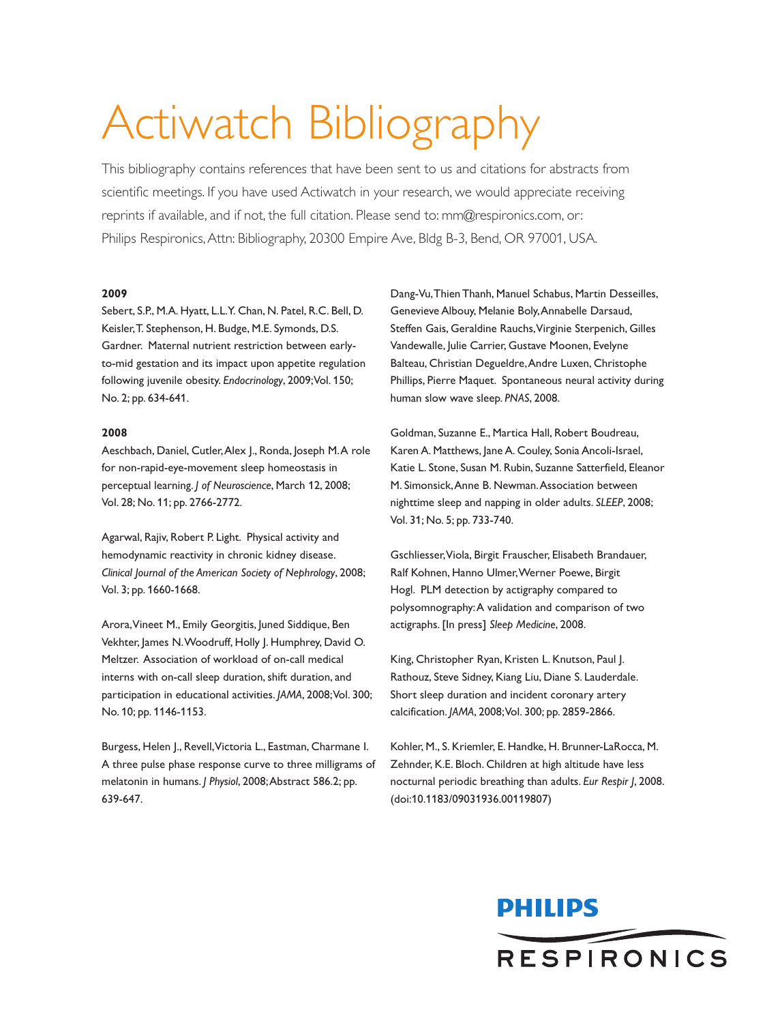# Actiwatch Bibliography

This bibliography contains references that have been sent to us and citations for abstracts from scientific meetings. If you have used Actiwatch in your research, we would appreciate receiving reprints if available, and if not, the full citation. Please send to: mm@respironics.com, or: Philips Respironics,Attn: Bibliography, 20300 Empire Ave, Bldg B-3, Bend, OR 97001, USA.

#### **2009**

Sebert, S.P., M.A. Hyatt, L.L.Y. Chan, N. Patel, R.C. Bell, D. Keisler,T. Stephenson, H. Budge, M.E. Symonds, D.S. Gardner. Maternal nutrient restriction between earlyto-mid gestation and its impact upon appetite regulation following juvenile obesity. *Endocrinology*, 2009;Vol. 150; No. 2; pp. 634-641.

#### **2008**

Aeschbach, Daniel, Cutler, Alex J., Ronda, Joseph M.A role for non-rapid-eye-movement sleep homeostasis in perceptual learning. *J of Neuroscience*, March 12, 2008; Vol. 28; No. 11; pp. 2766-2772.

Agarwal, Rajiv, Robert P. Light. Physical activity and hemodynamic reactivity in chronic kidney disease. *Clinical Journal of the American Society of Nephrology*, 2008; Vol. 3; pp. 1660-1668.

Arora,Vineet M., Emily Georgitis, Juned Siddique, Ben Vekhter, James N. Woodruff, Holly J. Humphrey, David O. Meltzer. Association of workload of on-call medical interns with on-call sleep duration, shift duration, and participation in educational activities. *JAMA*, 2008;Vol. 300; No. 10; pp. 1146-1153.

Burgess, Helen J., Revell,Victoria L., Eastman, Charmane I. A three pulse phase response curve to three milligrams of melatonin in humans. *J Physiol*, 2008;Abstract 586.2; pp. 639-647.

Dang-Vu,Thien Thanh, Manuel Schabus, Martin Desseilles, Genevieve Albouy, Melanie Boly,Annabelle Darsaud, Steffen Gais, Geraldine Rauchs,Virginie Sterpenich, Gilles Vandewalle, Julie Carrier, Gustave Moonen, Evelyne Balteau, Christian Degueldre,Andre Luxen, Christophe Phillips, Pierre Maquet. Spontaneous neural activity during human slow wave sleep. *PNAS*, 2008.

Goldman, Suzanne E., Martica Hall, Robert Boudreau, Karen A. Matthews, Jane A. Couley, Sonia Ancoli-Israel, Katie L. Stone, Susan M. Rubin, Suzanne Satterfield, Eleanor M. Simonsick,Anne B. Newman.Association between nighttime sleep and napping in older adults. *SLEEP*, 2008; Vol. 31; No. 5; pp. 733-740.

Gschliesser,Viola, Birgit Frauscher, Elisabeth Brandauer, Ralf Kohnen, Hanno Ulmer,Werner Poewe, Birgit Hogl. PLM detection by actigraphy compared to polysomnography:A validation and comparison of two actigraphs. [In press] *Sleep Medicine*, 2008.

King, Christopher Ryan, Kristen L. Knutson, Paul J. Rathouz, Steve Sidney, Kiang Liu, Diane S. Lauderdale. Short sleep duration and incident coronary artery calcification. *JAMA*, 2008;Vol. 300; pp. 2859-2866.

Kohler, M., S. Kriemler, E. Handke, H. Brunner-LaRocca, M. Zehnder, K.E. Bloch. Children at high altitude have less nocturnal periodic breathing than adults. *Eur Respir J*, 2008. (doi:10.1183/09031936.00119807)

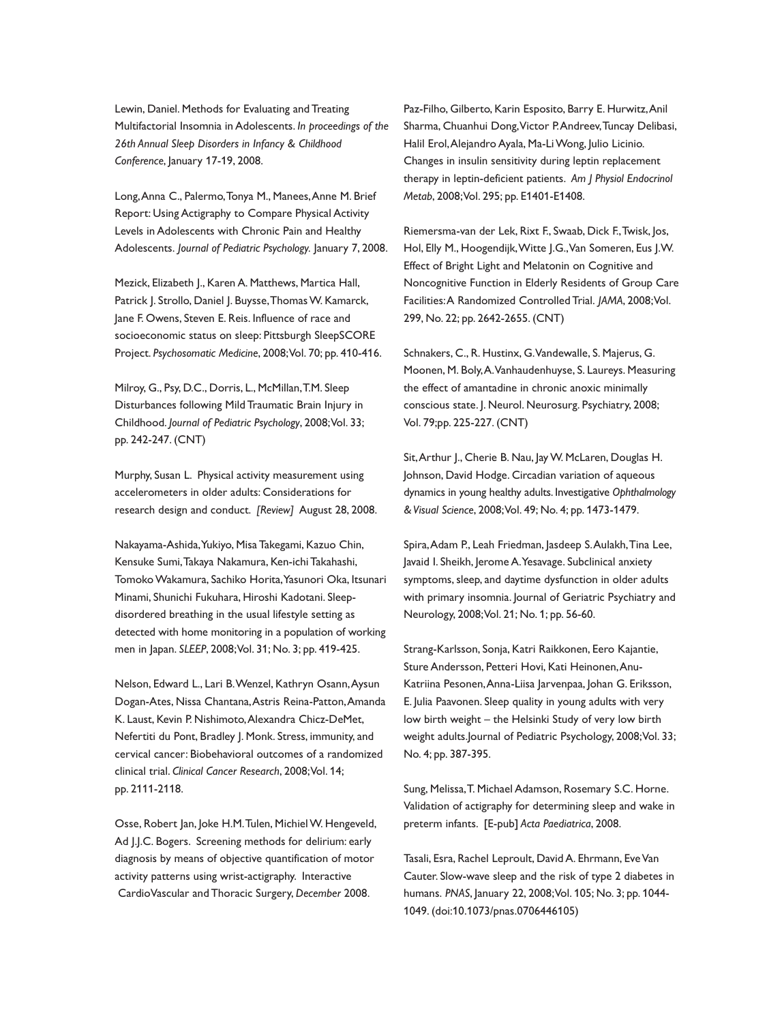Lewin, Daniel. Methods for Evaluating and Treating Multifactorial Insomnia in Adolescents. *In proceedings of the 26th Annual Sleep Disorders in Infancy & Childhood Conference*, January 17-19, 2008.

Long,Anna C., Palermo,Tonya M., Manees,Anne M. Brief Report: Using Actigraphy to Compare Physical Activity Levels in Adolescents with Chronic Pain and Healthy Adolescents. *Journal of Pediatric Psychology.* January 7, 2008.

Mezick, Elizabeth J., Karen A. Matthews, Martica Hall, Patrick J. Strollo, Daniel J. Buysse, Thomas W. Kamarck, Jane F. Owens, Steven E. Reis. Influence of race and socioeconomic status on sleep: Pittsburgh SleepSCORE Project. *Psychosomatic Medicine*, 2008;Vol. 70; pp. 410-416.

Milroy, G., Psy, D.C., Dorris, L., McMillan,T.M. Sleep Disturbances following Mild Traumatic Brain Injury in Childhood. *Journal of Pediatric Psychology*, 2008;Vol. 33; pp. 242-247. (CNT)

Murphy, Susan L. Physical activity measurement using accelerometers in older adults: Considerations for research design and conduct. *[Review]* August 28, 2008.

Nakayama-Ashida,Yukiyo, Misa Takegami, Kazuo Chin, Kensuke Sumi,Takaya Nakamura, Ken-ichi Takahashi, TomokoWakamura, Sachiko Horita,Yasunori Oka, Itsunari Minami, Shunichi Fukuhara, Hiroshi Kadotani. Sleepdisordered breathing in the usual lifestyle setting as detected with home monitoring in a population of working men in Japan. *SLEEP*, 2008;Vol. 31; No. 3; pp. 419-425.

Nelson, Edward L., Lari B.Wenzel, Kathryn Osann,Aysun Dogan-Ates, Nissa Chantana,Astris Reina-Patton,Amanda K. Laust, Kevin P. Nishimoto,Alexandra Chicz-DeMet, Nefertiti du Pont, Bradley J. Monk. Stress, immunity, and cervical cancer: Biobehavioral outcomes of a randomized clinical trial. *Clinical Cancer Research*, 2008;Vol. 14; pp. 2111-2118.

Osse, Robert Jan, Joke H.M. Tulen, Michiel W. Hengeveld, Ad J.J.C. Bogers. Screening methods for delirium: early diagnosis by means of objective quantification of motor activity patterns using wrist-actigraphy. Interactive CardioVascular and Thoracic Surgery, *December* 2008.

Paz-Filho, Gilberto, Karin Esposito, Barry E. Hurwitz,Anil Sharma, Chuanhui Dong,Victor P.Andreev,Tuncay Delibasi, Halil Erol,Alejandro Ayala, Ma-LiWong, Julio Licinio. Changes in insulin sensitivity during leptin replacement therapy in leptin-deficient patients. *Am J Physiol Endocrinol Metab*, 2008;Vol. 295; pp. E1401-E1408.

Riemersma-van der Lek, Rixt F., Swaab, Dick F.,Twisk, Jos, Hol, Elly M., Hoogendijk,Witte J.G.,Van Someren, Eus J.W. Effect of Bright Light and Melatonin on Cognitive and Noncognitive Function in Elderly Residents of Group Care Facilities:A Randomized Controlled Trial. *JAMA*, 2008;Vol. 299, No. 22; pp. 2642-2655. (CNT)

Schnakers, C., R. Hustinx, G.Vandewalle, S. Majerus, G. Moonen, M. Boly,A.Vanhaudenhuyse, S. Laureys. Measuring the effect of amantadine in chronic anoxic minimally conscious state. J. Neurol. Neurosurg. Psychiatry, 2008; Vol. 79;pp. 225-227. (CNT)

Sit, Arthur J., Cherie B. Nau, Jay W. McLaren, Douglas H. Johnson, David Hodge. Circadian variation of aqueous dynamics in young healthy adults. Investigative *Ophthalmology &Visual Science*, 2008;Vol. 49; No. 4; pp. 1473-1479.

Spira,Adam P., Leah Friedman, Jasdeep S.Aulakh,Tina Lee, Javaid I. Sheikh, Jerome A.Yesavage. Subclinical anxiety symptoms, sleep, and daytime dysfunction in older adults with primary insomnia. Journal of Geriatric Psychiatry and Neurology, 2008;Vol. 21; No. 1; pp. 56-60.

Strang-Karlsson, Sonja, Katri Raikkonen, Eero Kajantie, Sture Andersson, Petteri Hovi, Kati Heinonen,Anu-Katriina Pesonen,Anna-Liisa Jarvenpaa, Johan G. Eriksson, E. Julia Paavonen. Sleep quality in young adults with very low birth weight – the Helsinki Study of very low birth weight adults.Journal of Pediatric Psychology, 2008;Vol. 33; No. 4; pp. 387-395.

Sung, Melissa,T. Michael Adamson, Rosemary S.C. Horne. Validation of actigraphy for determining sleep and wake in preterm infants. [E-pub] *Acta Paediatrica*, 2008.

Tasali, Esra, Rachel Leproult, David A. Ehrmann, Eve Van Cauter. Slow-wave sleep and the risk of type 2 diabetes in humans. *PNAS*, January 22, 2008;Vol. 105; No. 3; pp. 1044- 1049. (doi:10.1073/pnas.0706446105)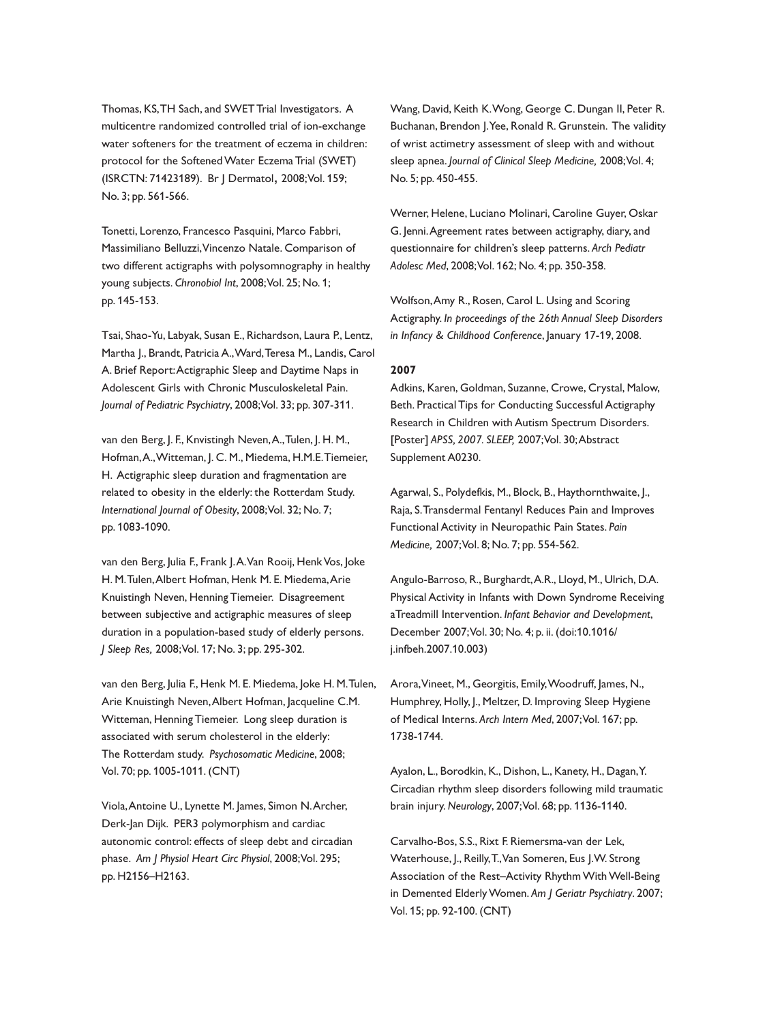Thomas, KS,TH Sach, and SWET Trial Investigators. A multicentre randomized controlled trial of ion-exchange water softeners for the treatment of eczema in children: protocol for the SoftenedWater Eczema Trial (SWET) (ISRCTN: 71423189). Br J Dermatol, 2008;Vol. 159; No. 3; pp. 561-566.

Tonetti, Lorenzo, Francesco Pasquini, Marco Fabbri, Massimiliano Belluzzi,Vincenzo Natale. Comparison of two different actigraphs with polysomnography in healthy young subjects. *Chronobiol Int*, 2008;Vol. 25; No. 1; pp. 145-153.

Tsai, Shao-Yu, Labyak, Susan E., Richardson, Laura P., Lentz, Martha J., Brandt, Patricia A.,Ward,Teresa M., Landis, Carol A. Brief Report:Actigraphic Sleep and Daytime Naps in Adolescent Girls with Chronic Musculoskeletal Pain. *Journal of Pediatric Psychiatry*, 2008;Vol. 33; pp. 307-311.

van den Berg, J. F., Knvistingh Neven,A.,Tulen, J. H. M., Hofman,A.,Witteman, J. C. M., Miedema, H.M.E.Tiemeier, H. Actigraphic sleep duration and fragmentation are related to obesity in the elderly: the Rotterdam Study. *International Journal of Obesity*, 2008;Vol. 32; No. 7; pp. 1083-1090.

van den Berg, Julia F., Frank J.A.Van Rooij, Henk Vos, Joke H. M.Tulen,Albert Hofman, Henk M. E. Miedema,Arie Knuistingh Neven, Henning Tiemeier. Disagreement between subjective and actigraphic measures of sleep duration in a population-based study of elderly persons. *J Sleep Res,* 2008;Vol. 17; No. 3; pp. 295-302.

van den Berg, Julia F., Henk M. E. Miedema, Joke H. M.Tulen, Arie Knuistingh Neven,Albert Hofman, Jacqueline C.M. Witteman, Henning Tiemeier. Long sleep duration is associated with serum cholesterol in the elderly: The Rotterdam study. *Psychosomatic Medicine*, 2008; Vol. 70; pp. 1005-1011. (CNT)

Viola,Antoine U., Lynette M. James, Simon N.Archer, Derk-Jan Dijk. PER3 polymorphism and cardiac autonomic control: effects of sleep debt and circadian phase. *Am J Physiol Heart Circ Physiol*, 2008;Vol. 295; pp. H2156–H2163.

Wang, David, Keith K.Wong, George C. Dungan II, Peter R. Buchanan, Brendon J.Yee, Ronald R. Grunstein. The validity of wrist actimetry assessment of sleep with and without sleep apnea. *Journal of Clinical Sleep Medicine,* 2008;Vol. 4; No. 5; pp. 450-455.

Werner, Helene, Luciano Molinari, Caroline Guyer, Oskar G. Jenni.Agreement rates between actigraphy, diary, and questionnaire for children's sleep patterns. *Arch Pediatr Adolesc Med*, 2008;Vol. 162; No. 4; pp. 350-358.

Wolfson,Amy R., Rosen, Carol L. Using and Scoring Actigraphy. *In proceedings of the 26th Annual Sleep Disorders in Infancy & Childhood Conference*, January 17-19, 2008.

## **2007**

Adkins, Karen, Goldman, Suzanne, Crowe, Crystal, Malow, Beth. Practical Tips for Conducting Successful Actigraphy Research in Children with Autism Spectrum Disorders. [Poster] *APSS, 2007. SLEEP,* 2007;Vol. 30;Abstract Supplement A0230.

Agarwal, S., Polydefkis, M., Block, B., Haythornthwaite, J., Raja, S.Transdermal Fentanyl Reduces Pain and Improves Functional Activity in Neuropathic Pain States. *Pain Medicine,* 2007;Vol. 8; No. 7; pp. 554-562.

Angulo-Barroso, R., Burghardt,A.R., Lloyd, M., Ulrich, D.A. Physical Activity in Infants with Down Syndrome Receiving aTreadmill Intervention. *Infant Behavior and Development*, December 2007;Vol. 30; No. 4; p. ii. (doi:10.1016/ j.infbeh.2007.10.003)

Arora,Vineet, M., Georgitis, Emily,Woodruff, James, N., Humphrey, Holly, J., Meltzer, D. Improving Sleep Hygiene of Medical Interns. *Arch Intern Med*, 2007;Vol. 167; pp. 1738-1744.

Ayalon, L., Borodkin, K., Dishon, L., Kanety, H., Dagan,Y. Circadian rhythm sleep disorders following mild traumatic brain injury. *Neurology*, 2007;Vol. 68; pp. 1136-1140.

Carvalho-Bos, S.S., Rixt F. Riemersma-van der Lek, Waterhouse, J., Reilly,T.,Van Someren, Eus J.W. Strong Association of the Rest-Activity Rhythm With Well-Being in Demented ElderlyWomen. *Am J Geriatr Psychiatry*. 2007; Vol. 15; pp. 92-100. (CNT)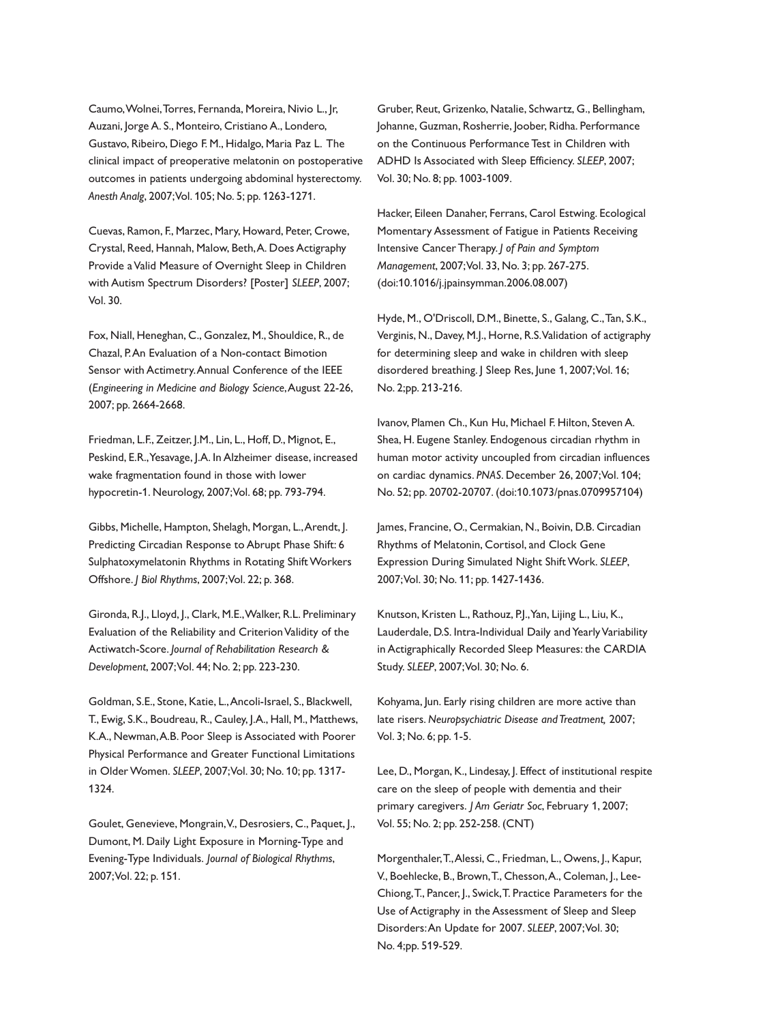Caumo,Wolnei,Torres, Fernanda, Moreira, Nivio L., Jr, Auzani, Jorge A. S., Monteiro, Cristiano A., Londero, Gustavo, Ribeiro, Diego F. M., Hidalgo, Maria Paz L. The clinical impact of preoperative melatonin on postoperative outcomes in patients undergoing abdominal hysterectomy. *Anesth Analg*, 2007;Vol. 105; No. 5; pp. 1263-1271.

Cuevas, Ramon, F., Marzec, Mary, Howard, Peter, Crowe, Crystal, Reed, Hannah, Malow, Beth,A. Does Actigraphy Provide aValid Measure of Overnight Sleep in Children with Autism Spectrum Disorders? [Poster] *SLEEP*, 2007; Vol. 30.

Fox, Niall, Heneghan, C., Gonzalez, M., Shouldice, R., de Chazal, P.An Evaluation of a Non-contact Bimotion Sensor with Actimetry.Annual Conference of the IEEE (*Engineering in Medicine and Biology Science*,August 22-26, 2007; pp. 2664-2668.

Friedman, L.F., Zeitzer, J.M., Lin, L., Hoff, D., Mignot, E., Peskind, E.R.,Yesavage, J.A. In Alzheimer disease, increased wake fragmentation found in those with lower hypocretin-1. Neurology, 2007;Vol. 68; pp. 793-794.

Gibbs, Michelle, Hampton, Shelagh, Morgan, L.,Arendt, J. Predicting Circadian Response to Abrupt Phase Shift: 6 Sulphatoxymelatonin Rhythms in Rotating Shift Workers Offshore. *J Biol Rhythms*, 2007;Vol. 22; p. 368.

Gironda, R.J., Lloyd, J., Clark, M.E.,Walker, R.L. Preliminary Evaluation of the Reliability and Criterion Validity of the Actiwatch-Score. *Journal of Rehabilitation Research & Development*, 2007;Vol. 44; No. 2; pp. 223-230.

Goldman, S.E., Stone, Katie, L.,Ancoli-Israel, S., Blackwell, T., Ewig, S.K., Boudreau, R., Cauley, J.A., Hall, M., Matthews, K.A., Newman,A.B. Poor Sleep is Associated with Poorer Physical Performance and Greater Functional Limitations in OlderWomen. *SLEEP*, 2007;Vol. 30; No. 10; pp. 1317- 1324.

Goulet, Genevieve, Mongrain,V., Desrosiers, C., Paquet, J., Dumont, M. Daily Light Exposure in Morning-Type and Evening-Type Individuals. *Journal of Biological Rhythms*, 2007;Vol. 22; p. 151.

Gruber, Reut, Grizenko, Natalie, Schwartz, G., Bellingham, Johanne, Guzman, Rosherrie, Joober, Ridha. Performance on the Continuous Performance Test in Children with ADHD Is Associated with Sleep Efficiency. *SLEEP*, 2007; Vol. 30; No. 8; pp. 1003-1009.

Hacker, Eileen Danaher, Ferrans, Carol Estwing. Ecological Momentary Assessment of Fatigue in Patients Receiving Intensive Cancer Therapy. *J of Pain and Symptom Management*, 2007;Vol. 33, No. 3; pp. 267-275. (doi:10.1016/j.jpainsymman.2006.08.007)

Hyde, M., O'Driscoll, D.M., Binette, S., Galang, C.,Tan, S.K., Verginis, N., Davey, M.J., Horne, R.S.Validation of actigraphy for determining sleep and wake in children with sleep disordered breathing. J Sleep Res, June 1, 2007; Vol. 16; No. 2;pp. 213-216.

Ivanov, Plamen Ch., Kun Hu, Michael F. Hilton, Steven A. Shea, H. Eugene Stanley. Endogenous circadian rhythm in human motor activity uncoupled from circadian influences on cardiac dynamics. *PNAS*. December 26, 2007;Vol. 104; No. 52; pp. 20702-20707. (doi:10.1073/pnas.0709957104)

James, Francine, O., Cermakian, N., Boivin, D.B. Circadian Rhythms of Melatonin, Cortisol, and Clock Gene Expression During Simulated Night Shift Work. SLEEP, 2007;Vol. 30; No. 11; pp. 1427-1436.

Knutson, Kristen L., Rathouz, P.J.,Yan, Lijing L., Liu, K., Lauderdale, D.S. Intra-Individual Daily and Yearly Variability in Actigraphically Recorded Sleep Measures: the CARDIA Study. *SLEEP*, 2007;Vol. 30; No. 6.

Kohyama, Jun. Early rising children are more active than late risers. *Neuropsychiatric Disease and Treatment,* 2007; Vol. 3; No. 6; pp. 1-5.

Lee, D., Morgan, K., Lindesay, J. Effect of institutional respite care on the sleep of people with dementia and their primary caregivers. *J Am Geriatr Soc*, February 1, 2007; Vol. 55; No. 2; pp. 252-258. (CNT)

Morgenthaler,T.,Alessi, C., Friedman, L., Owens, J., Kapur, V., Boehlecke, B., Brown,T., Chesson,A., Coleman, J., Lee-Chiong,T., Pancer, J., Swick,T. Practice Parameters for the Use of Actigraphy in the Assessment of Sleep and Sleep Disorders:An Update for 2007. *SLEEP*, 2007;Vol. 30; No. 4;pp. 519-529.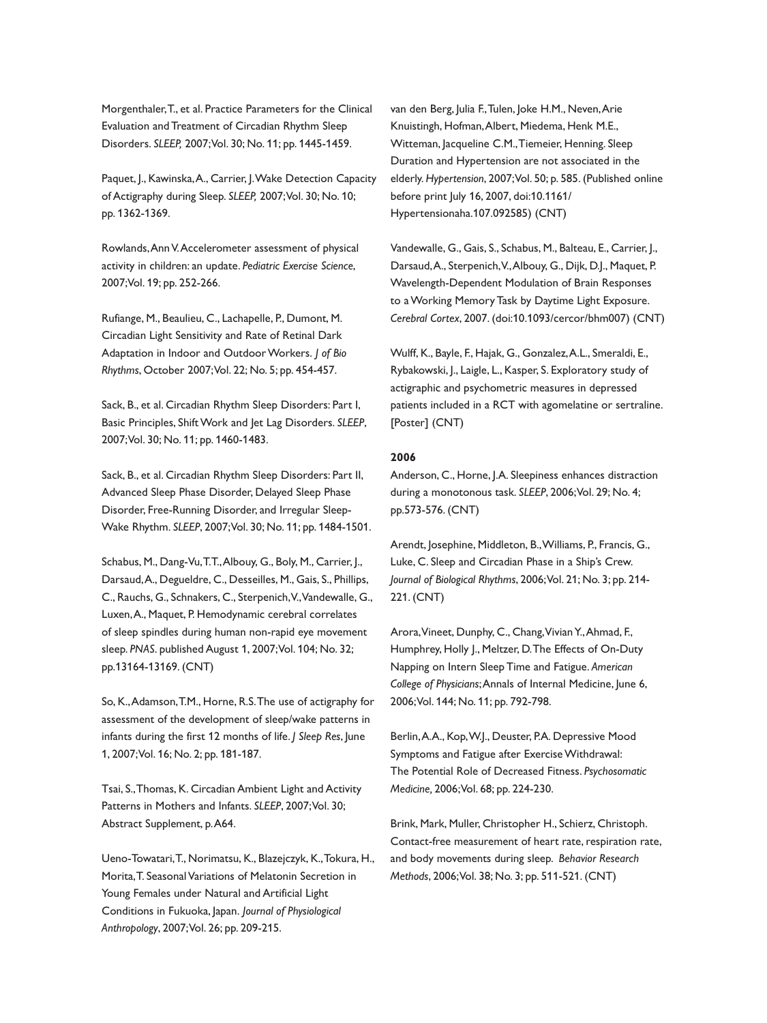Morgenthaler,T., et al. Practice Parameters for the Clinical Evaluation and Treatment of Circadian Rhythm Sleep Disorders. *SLEEP,* 2007;Vol. 30; No. 11; pp. 1445-1459.

Paquet, J., Kawinska, A., Carrier, J. Wake Detection Capacity of Actigraphy during Sleep. *SLEEP,* 2007;Vol. 30; No. 10; pp. 1362-1369.

Rowlands,AnnV.Accelerometer assessment of physical activity in children: an update. *Pediatric Exercise Science*, 2007;Vol. 19; pp. 252-266.

Rufiange, M., Beaulieu, C., Lachapelle, P., Dumont, M. Circadian Light Sensitivity and Rate of Retinal Dark Adaptation in Indoor and OutdoorWorkers. *J of Bio Rhythms*, October 2007;Vol. 22; No. 5; pp. 454-457.

Sack, B., et al. Circadian Rhythm Sleep Disorders: Part I, Basic Principles, ShiftWork and Jet Lag Disorders. *SLEEP*, 2007;Vol. 30; No. 11; pp. 1460-1483.

Sack, B., et al. Circadian Rhythm Sleep Disorders: Part II, Advanced Sleep Phase Disorder, Delayed Sleep Phase Disorder, Free-Running Disorder, and Irregular Sleep-Wake Rhythm. *SLEEP*, 2007;Vol. 30; No. 11; pp. 1484-1501.

Schabus, M., Dang-Vu,T.T.,Albouy, G., Boly, M., Carrier, J., Darsaud,A., Degueldre, C., Desseilles, M., Gais, S., Phillips, C., Rauchs, G., Schnakers, C., Sterpenich,V.,Vandewalle, G., Luxen,A., Maquet, P. Hemodynamic cerebral correlates of sleep spindles during human non-rapid eye movement sleep. *PNAS*. published August 1, 2007;Vol. 104; No. 32; pp.13164-13169. (CNT)

So, K.,Adamson,T.M., Horne, R.S.The use of actigraphy for assessment of the development of sleep/wake patterns in infants during the first 12 months of life. *J Sleep Res*, June 1, 2007;Vol. 16; No. 2; pp. 181-187.

Tsai, S.,Thomas, K. Circadian Ambient Light and Activity Patterns in Mothers and Infants. *SLEEP*, 2007;Vol. 30; Abstract Supplement, p.A64.

Ueno-Towatari,T., Norimatsu, K., Blazejczyk, K.,Tokura, H., Morita,T. SeasonalVariations of Melatonin Secretion in Young Females under Natural and Artificial Light Conditions in Fukuoka, Japan. *Journal of Physiological Anthropology*, 2007;Vol. 26; pp. 209-215.

van den Berg, Julia F.,Tulen, Joke H.M., Neven,Arie Knuistingh, Hofman,Albert, Miedema, Henk M.E., Witteman, Jacqueline C.M.,Tiemeier, Henning. Sleep Duration and Hypertension are not associated in the elderly. *Hypertension*, 2007;Vol. 50; p. 585. (Published online before print July 16, 2007, doi:10.1161/ Hypertensionaha.107.092585) (CNT)

Vandewalle, G., Gais, S., Schabus, M., Balteau, E., Carrier, J., Darsaud,A., Sterpenich,V.,Albouy, G., Dijk, D.J., Maquet, P. Wavelength-Dependent Modulation of Brain Responses to aWorking Memory Task by Daytime Light Exposure. *Cerebral Cortex*, 2007. (doi:10.1093/cercor/bhm007) (CNT)

Wulff, K., Bayle, F., Hajak, G., Gonzalez,A.L., Smeraldi, E., Rybakowski, J., Laigle, L., Kasper, S. Exploratory study of actigraphic and psychometric measures in depressed patients included in a RCT with agomelatine or sertraline. [Poster] (CNT)

#### **2006**

Anderson, C., Horne, J.A. Sleepiness enhances distraction during a monotonous task. *SLEEP*, 2006;Vol. 29; No. 4; pp.573-576. (CNT)

Arendt, Josephine, Middleton, B.,Williams, P., Francis, G., Luke, C. Sleep and Circadian Phase in a Ship's Crew. *Journal of Biological Rhythms*, 2006;Vol. 21; No. 3; pp. 214- 221. (CNT)

Arora,Vineet, Dunphy, C., Chang,VivianY.,Ahmad, F., Humphrey, Holly J., Meltzer, D.The Effects of On-Duty Napping on Intern Sleep Time and Fatigue. *American College of Physicians*;Annals of Internal Medicine, June 6, 2006;Vol. 144; No. 11; pp. 792-798.

Berlin,A.A., Kop,W.J., Deuster, P.A. Depressive Mood Symptoms and Fatigue after ExerciseWithdrawal: The Potential Role of Decreased Fitness. *Psychosomatic Medicine,* 2006;Vol. 68; pp. 224-230.

Brink, Mark, Muller, Christopher H., Schierz, Christoph. Contact-free measurement of heart rate, respiration rate, and body movements during sleep. *Behavior Research Methods*, 2006;Vol. 38; No. 3; pp. 511-521. (CNT)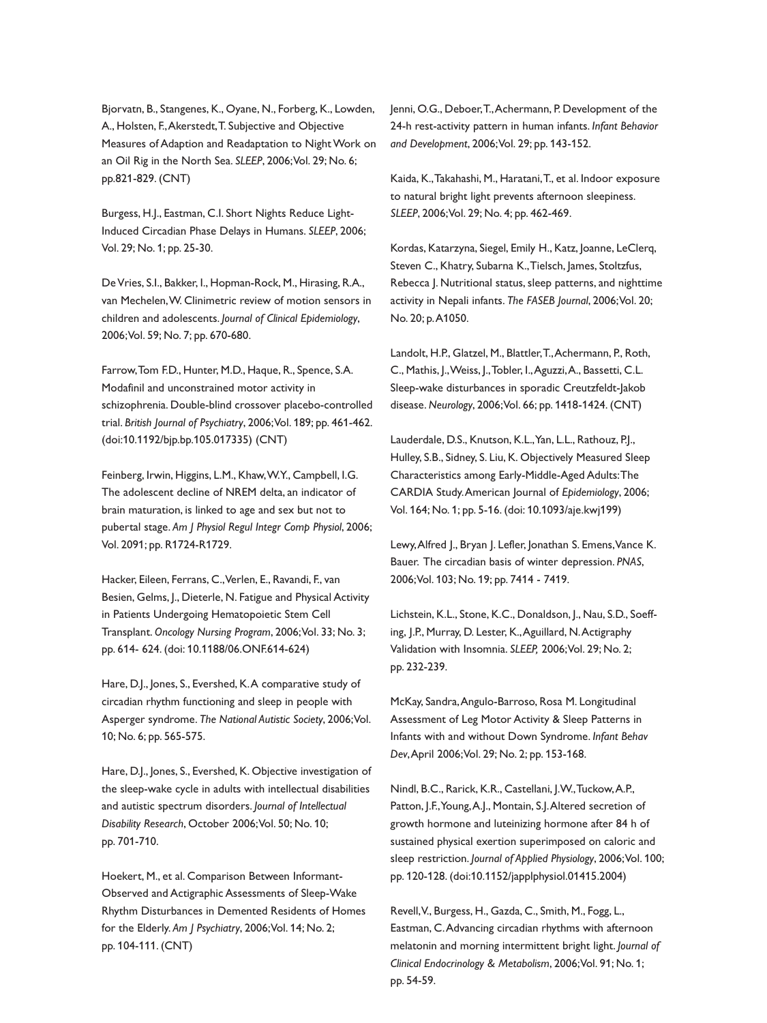Bjorvatn, B., Stangenes, K., Oyane, N., Forberg, K., Lowden, A., Holsten, F.,Akerstedt,T. Subjective and Objective Measures of Adaption and Readaptation to Night Work on an Oil Rig in the North Sea. *SLEEP*, 2006;Vol. 29; No. 6; pp.821-829. (CNT)

Burgess, H.J., Eastman, C.I. Short Nights Reduce Light-Induced Circadian Phase Delays in Humans. *SLEEP*, 2006; Vol. 29; No. 1; pp. 25-30.

DeVries, S.I., Bakker, I., Hopman-Rock, M., Hirasing, R.A., van Mechelen,W. Clinimetric review of motion sensors in children and adolescents. *Journal of Clinical Epidemiology*, 2006;Vol. 59; No. 7; pp. 670-680.

Farrow,Tom F.D., Hunter, M.D., Haque, R., Spence, S.A. Modafinil and unconstrained motor activity in schizophrenia. Double-blind crossover placebo-controlled trial. *British Journal of Psychiatry*, 2006;Vol. 189; pp. 461-462. (doi:10.1192/bjp.bp.105.017335) (CNT)

Feinberg, Irwin, Higgins, L.M., Khaw,W.Y., Campbell, I.G. The adolescent decline of NREM delta, an indicator of brain maturation, is linked to age and sex but not to pubertal stage. *Am J Physiol Regul Integr Comp Physiol*, 2006; Vol. 2091; pp. R1724-R1729.

Hacker, Eileen, Ferrans, C.,Verlen, E., Ravandi, F., van Besien, Gelms, J., Dieterle, N. Fatigue and Physical Activity in Patients Undergoing Hematopoietic Stem Cell Transplant. *Oncology Nursing Program*, 2006;Vol. 33; No. 3; pp. 614- 624. (doi: 10.1188/06.ONF.614-624)

Hare, D.J., Jones, S., Evershed, K.A comparative study of circadian rhythm functioning and sleep in people with Asperger syndrome. *The National Autistic Society*, 2006;Vol. 10; No. 6; pp. 565-575.

Hare, D.J., Jones, S., Evershed, K. Objective investigation of the sleep-wake cycle in adults with intellectual disabilities and autistic spectrum disorders. *Journal of Intellectual Disability Research*, October 2006;Vol. 50; No. 10; pp. 701-710.

Hoekert, M., et al. Comparison Between Informant-Observed and Actigraphic Assessments of Sleep-Wake Rhythm Disturbances in Demented Residents of Homes for the Elderly. *Am J Psychiatry*, 2006;Vol. 14; No. 2; pp. 104-111. (CNT)

Jenni, O.G., Deboer,T.,Achermann, P. Development of the 24-h rest-activity pattern in human infants. *Infant Behavior and Development*, 2006;Vol. 29; pp. 143-152.

Kaida, K.,Takahashi, M., Haratani,T., et al. Indoor exposure to natural bright light prevents afternoon sleepiness. *SLEEP*, 2006;Vol. 29; No. 4; pp. 462-469.

Kordas, Katarzyna, Siegel, Emily H., Katz, Joanne, LeClerq, Steven C., Khatry, Subarna K.,Tielsch, James, Stoltzfus, Rebecca J. Nutritional status, sleep patterns, and nighttime activity in Nepali infants. *The FASEB Journal*, 2006;Vol. 20; No. 20; p.A1050.

Landolt, H.P., Glatzel, M., Blattler,T.,Achermann, P., Roth, C., Mathis, J.,Weiss, J.,Tobler, I.,Aguzzi,A., Bassetti, C.L. Sleep-wake disturbances in sporadic Creutzfeldt-Jakob disease. *Neurology*, 2006;Vol. 66; pp. 1418-1424. (CNT)

Lauderdale, D.S., Knutson, K.L.,Yan, L.L., Rathouz, P.J., Hulley, S.B., Sidney, S. Liu, K. Objectively Measured Sleep Characteristics among Early-Middle-Aged Adults:The CARDIA Study.American Journal of *Epidemiology*, 2006; Vol. 164; No. 1; pp. 5-16. (doi: 10.1093/aje.kwj199)

Lewy, Alfred J., Bryan J. Lefler, Jonathan S. Emens, Vance K. Bauer. The circadian basis of winter depression. *PNAS*, 2006;Vol. 103; No. 19; pp. 7414 - 7419.

Lichstein, K.L., Stone, K.C., Donaldson, J., Nau, S.D., Soeffing, J.P., Murray, D. Lester, K.,Aguillard, N.Actigraphy Validation with Insomnia. *SLEEP,* 2006;Vol. 29; No. 2; pp. 232-239.

McKay, Sandra,Angulo-Barroso, Rosa M. Longitudinal Assessment of Leg Motor Activity & Sleep Patterns in Infants with and without Down Syndrome. *Infant Behav Dev*,April 2006;Vol. 29; No. 2; pp. 153-168.

Nindl, B.C., Rarick, K.R., Castellani, J.W.,Tuckow,A.P., Patton, J.F.,Young,A.J., Montain, S.J.Altered secretion of growth hormone and luteinizing hormone after 84 h of sustained physical exertion superimposed on caloric and sleep restriction. *Journal of Applied Physiology*, 2006;Vol. 100; pp. 120-128. (doi:10.1152/japplphysiol.01415.2004)

Revell,V., Burgess, H., Gazda, C., Smith, M., Fogg, L., Eastman, C.Advancing circadian rhythms with afternoon melatonin and morning intermittent bright light. *Journal of Clinical Endocrinology & Metabolism*, 2006;Vol. 91; No. 1; pp. 54-59.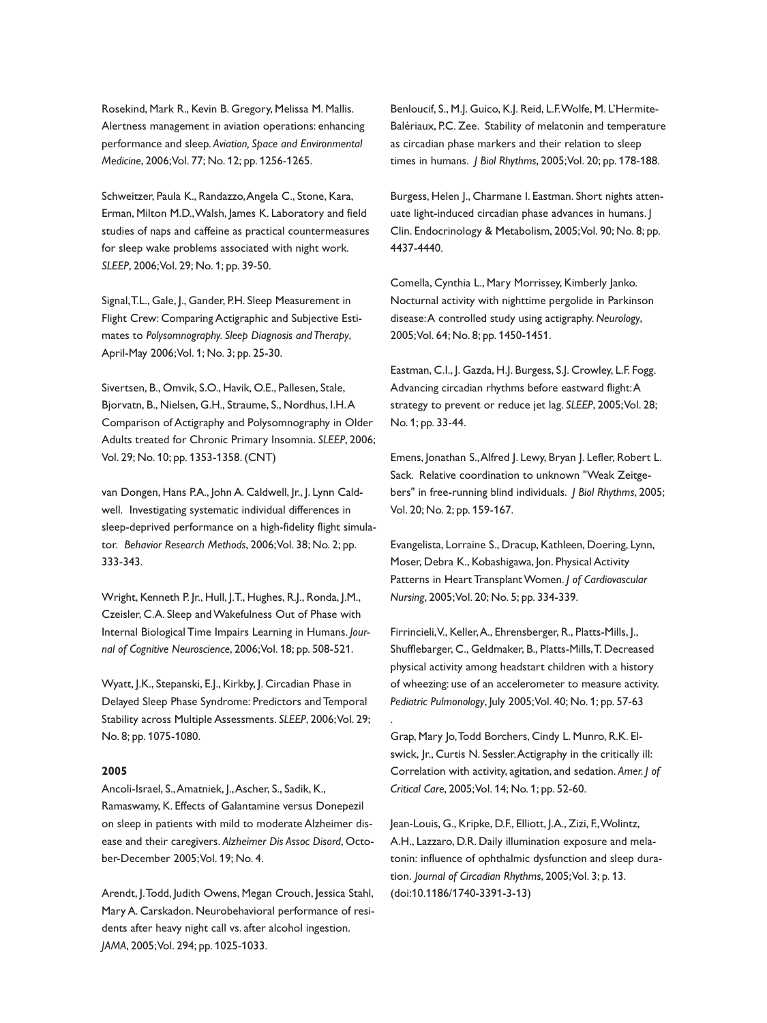Rosekind, Mark R., Kevin B. Gregory, Melissa M. Mallis. Alertness management in aviation operations: enhancing performance and sleep. *Aviation, Space and Environmental Medicine*, 2006;Vol. 77; No. 12; pp. 1256-1265.

Schweitzer, Paula K., Randazzo,Angela C., Stone, Kara, Erman, Milton M.D.,Walsh, James K. Laboratory and field studies of naps and caffeine as practical countermeasures for sleep wake problems associated with night work. *SLEEP*, 2006;Vol. 29; No. 1; pp. 39-50.

Signal,T.L., Gale, J., Gander, P.H. Sleep Measurement in Flight Crew: Comparing Actigraphic and Subjective Estimates to *Polysomnography. Sleep Diagnosis and Therapy*, April-May 2006;Vol. 1; No. 3; pp. 25-30.

Sivertsen, B., Omvik, S.O., Havik, O.E., Pallesen, Stale, Bjorvatn, B., Nielsen, G.H., Straume, S., Nordhus, I.H.A Comparison of Actigraphy and Polysomnography in Older Adults treated for Chronic Primary Insomnia. *SLEEP*, 2006; Vol. 29; No. 10; pp. 1353-1358. (CNT)

van Dongen, Hans P.A., John A. Caldwell, Jr., J. Lynn Caldwell. Investigating systematic individual differences in sleep-deprived performance on a high-fidelity flight simulator. *Behavior Research Methods*, 2006;Vol. 38; No. 2; pp. 333-343.

Wright, Kenneth P. Jr., Hull, J.T., Hughes, R.J., Ronda, J.M., Czeisler, C.A. Sleep andWakefulness Out of Phase with Internal Biological Time Impairs Learning in Humans. *Journal of Cognitive Neuroscience*, 2006;Vol. 18; pp. 508-521.

Wyatt, J.K., Stepanski, E.J., Kirkby, J. Circadian Phase in Delayed Sleep Phase Syndrome: Predictors and Temporal Stability across Multiple Assessments. *SLEEP*, 2006;Vol. 29; No. 8; pp. 1075-1080.

#### **2005**

Ancoli-Israel, S.,Amatniek, J.,Ascher, S., Sadik, K., Ramaswamy, K. Effects of Galantamine versus Donepezil on sleep in patients with mild to moderate Alzheimer disease and their caregivers. *Alzheimer Dis Assoc Disord*, October-December 2005;Vol. 19; No. 4.

Arendt, J.Todd, Judith Owens, Megan Crouch, Jessica Stahl, Mary A. Carskadon. Neurobehavioral performance of residents after heavy night call vs. after alcohol ingestion. *JAMA*, 2005;Vol. 294; pp. 1025-1033.

Benloucif, S., M.J. Guico, K.J. Reid, L.F.Wolfe, M. L'Hermite-Balériaux, P.C. Zee. Stability of melatonin and temperature as circadian phase markers and their relation to sleep times in humans. *J Biol Rhythms*, 2005;Vol. 20; pp. 178-188.

Burgess, Helen J., Charmane I. Eastman. Short nights attenuate light-induced circadian phase advances in humans. J Clin. Endocrinology & Metabolism, 2005;Vol. 90; No. 8; pp. 4437-4440.

Comella, Cynthia L., Mary Morrissey, Kimberly Janko. Nocturnal activity with nighttime pergolide in Parkinson disease:A controlled study using actigraphy. *Neurology*, 2005;Vol. 64; No. 8; pp. 1450-1451.

Eastman, C.I., J. Gazda, H.J. Burgess, S.J. Crowley, L.F. Fogg. Advancing circadian rhythms before eastward flight:A strategy to prevent or reduce jet lag. *SLEEP*, 2005;Vol. 28; No. 1; pp. 33-44.

Emens, Jonathan S.,Alfred J. Lewy, Bryan J. Lefler, Robert L. Sack. Relative coordination to unknown "Weak Zeitgebers" in free-running blind individuals. *J Biol Rhythms*, 2005; Vol. 20; No. 2; pp. 159-167.

Evangelista, Lorraine S., Dracup, Kathleen, Doering, Lynn, Moser, Debra K., Kobashigawa, Jon. Physical Activity Patterns in Heart TransplantWomen. *J of Cardiovascular Nursing*, 2005;Vol. 20; No. 5; pp. 334-339.

Firrincieli,V., Keller,A., Ehrensberger, R., Platts-Mills, J., Shufflebarger, C., Geldmaker, B., Platts-Mills,T. Decreased physical activity among headstart children with a history of wheezing: use of an accelerometer to measure activity. *Pediatric Pulmonology*, July 2005;Vol. 40; No. 1; pp. 57-63

Grap, Mary Jo,Todd Borchers, Cindy L. Munro, R.K. Elswick, Jr., Curtis N. Sessler.Actigraphy in the critically ill: Correlation with activity, agitation, and sedation. *Amer. J of Critical Care*, 2005;Vol. 14; No. 1; pp. 52-60.

.

Jean-Louis, G., Kripke, D.F., Elliott, J.A., Zizi, F.,Wolintz, A.H., Lazzaro, D.R. Daily illumination exposure and melatonin: influence of ophthalmic dysfunction and sleep duration. *Journal of Circadian Rhythms*, 2005;Vol. 3; p. 13. (doi:10.1186/1740-3391-3-13)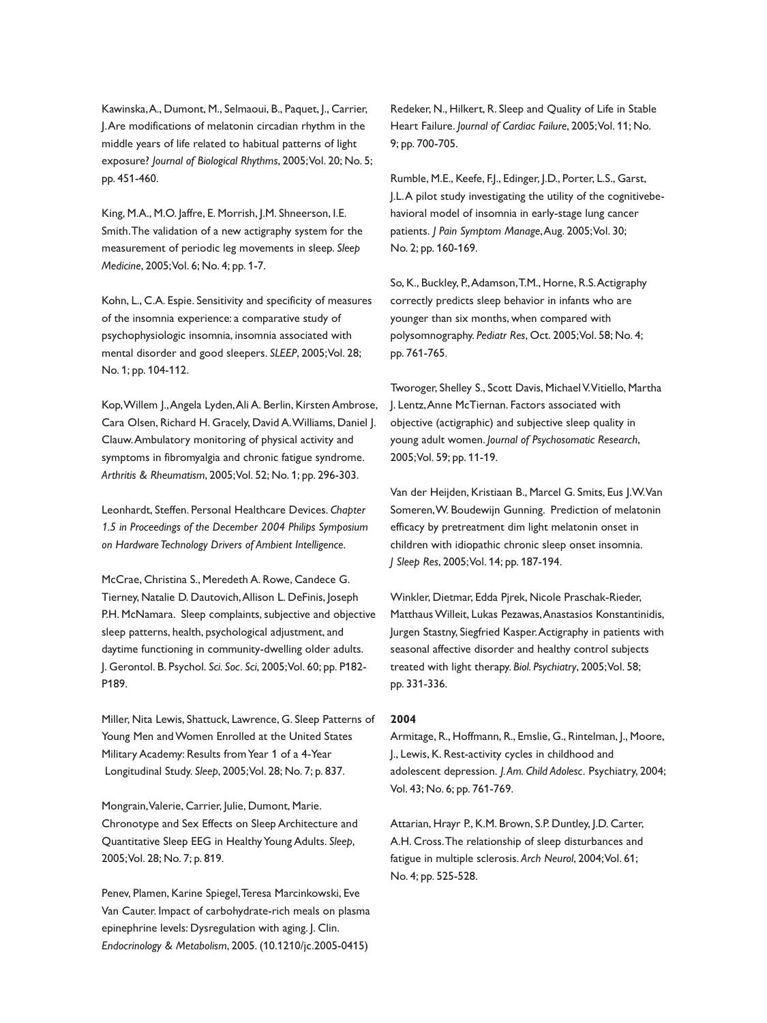Kawinska,A., Dumont, M., Selmaoui, B., Paquet, J., Carrier, J.Are modifications of melatonin circadian rhythm in the middle years of life related to habitual patterns of light exposure? *Journal of Biological Rhythms*, 2005;Vol. 20; No. 5; pp. 451-460.

King, M.A., M.O. Jaffre, E. Morrish, J.M. Shneerson, I.E. Smith.The validation of a new actigraphy system for the measurement of periodic leg movements in sleep. *Sleep Medicine*, 2005;Vol. 6; No. 4; pp. 1-7.

Kohn, L., C.A. Espie. Sensitivity and specificity of measures of the insomnia experience: a comparative study of psychophysiologic insomnia, insomnia associated with mental disorder and good sleepers. *SLEEP*, 2005;Vol. 28; No. 1; pp. 104-112.

Kop,Willem J.,Angela Lyden,Ali A. Berlin, Kirsten Ambrose, Cara Olsen, Richard H. Gracely, David A.Williams, Daniel J. Clauw.Ambulatory monitoring of physical activity and symptoms in fibromyalgia and chronic fatigue syndrome. *Arthritis & Rheumatism*, 2005;Vol. 52; No. 1; pp. 296-303.

Leonhardt, Steffen. Personal Healthcare Devices. *Chapter 1.5 in Proceedings of the December 2004 Philips Symposium on Hardware Technology Drivers of Ambient Intelligence.*

McCrae, Christina S., Meredeth A. Rowe, Candece G. Tierney, Natalie D. Dautovich,Allison L. DeFinis, Joseph P.H. McNamara. Sleep complaints, subjective and objective sleep patterns, health, psychological adjustment, and daytime functioning in community-dwelling older adults. J. Gerontol. B. Psychol. *Sci. Soc. Sci*, 2005;Vol. 60; pp. P182- P189.

Miller, Nita Lewis, Shattuck, Lawrence, G. Sleep Patterns of Young Men andWomen Enrolled at the United States Military Academy: Results fromYear 1 of a 4-Year Longitudinal Study. *Sleep*, 2005;Vol. 28; No. 7; p. 837.

Mongrain,Valerie, Carrier, Julie, Dumont, Marie. Chronotype and Sex Effects on Sleep Architecture and Quantitative Sleep EEG in HealthyYoung Adults. *Sleep*, 2005;Vol. 28; No. 7; p. 819.

Penev, Plamen, Karine Spiegel,Teresa Marcinkowski, Eve Van Cauter. Impact of carbohydrate-rich meals on plasma epinephrine levels: Dysregulation with aging. J. Clin. *Endocrinology & Metabolism*, 2005. (10.1210/jc.2005-0415)

Redeker, N., Hilkert, R. Sleep and Quality of Life in Stable Heart Failure. *Journal of Cardiac Failure*, 2005;Vol. 11; No. 9; pp. 700-705.

Rumble, M.E., Keefe, F.J., Edinger, J.D., Porter, L.S., Garst, J.L.A pilot study investigating the utility of the cognitivebehavioral model of insomnia in early-stage lung cancer patients. *J Pain Symptom Manage*,Aug. 2005;Vol. 30; No. 2; pp. 160-169.

So, K., Buckley, P.,Adamson,T.M., Horne, R.S.Actigraphy correctly predicts sleep behavior in infants who are younger than six months, when compared with polysomnography. *Pediatr Res*, Oct. 2005;Vol. 58; No. 4; pp. 761-765.

Tworoger, Shelley S., Scott Davis, MichaelV.Vitiello, Martha J. Lentz,Anne McTiernan. Factors associated with objective (actigraphic) and subjective sleep quality in young adult women. *Journal of Psychosomatic Research*, 2005;Vol. 59; pp. 11-19.

Van der Heijden, Kristiaan B., Marcel G. Smits, Eus J.W.Van Someren,W. Boudewijn Gunning. Prediction of melatonin efficacy by pretreatment dim light melatonin onset in children with idiopathic chronic sleep onset insomnia. *J Sleep Res*, 2005;Vol. 14; pp. 187-194.

Winkler, Dietmar, Edda Pjrek, Nicole Praschak-Rieder, Matthaus Willeit, Lukas Pezawas, Anastasios Konstantinidis, Jurgen Stastny, Siegfried Kasper.Actigraphy in patients with seasonal affective disorder and healthy control subjects treated with light therapy. *Biol. Psychiatry*, 2005;Vol. 58; pp. 331-336.

#### **2004**

Armitage, R., Hoffmann, R., Emslie, G., Rintelman, J., Moore, J., Lewis, K. Rest-activity cycles in childhood and adolescent depression. *J.Am. Child Adolesc.* Psychiatry, 2004; Vol. 43; No. 6; pp. 761-769.

Attarian, Hrayr P., K.M. Brown, S.P. Duntley, J.D. Carter, A.H. Cross.The relationship of sleep disturbances and fatigue in multiple sclerosis. *Arch Neurol*, 2004;Vol. 61; No. 4; pp. 525-528.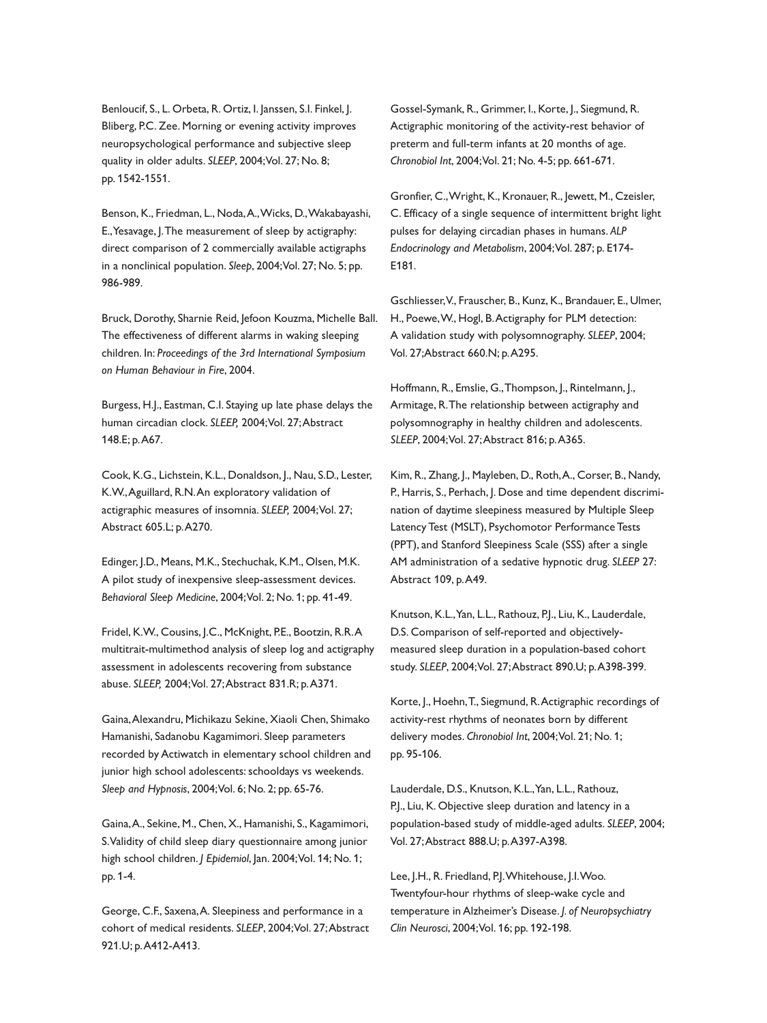Benloucif, S., L. Orbeta, R. Ortiz, I. Janssen, S.I. Finkel, J. Bliberg, P.C. Zee. Morning or evening activity improves neuropsychological performance and subjective sleep quality in older adults. *SLEEP*, 2004;Vol. 27; No. 8; pp. 1542-1551.

Benson, K., Friedman, L., Noda,A.,Wicks, D.,Wakabayashi, E.,Yesavage, J.The measurement of sleep by actigraphy: direct comparison of 2 commercially available actigraphs in a nonclinical population. *Sleep*, 2004;Vol. 27; No. 5; pp. 986-989.

Bruck, Dorothy, Sharnie Reid, Jefoon Kouzma, Michelle Ball. The effectiveness of different alarms in waking sleeping children. In: *Proceedings of the 3rd International Symposium on Human Behaviour in Fire*, 2004.

Burgess, H.J., Eastman, C.I. Staying up late phase delays the human circadian clock. *SLEEP,* 2004;Vol. 27;Abstract 148.E; p.A67.

Cook, K.G., Lichstein, K.L., Donaldson, J., Nau, S.D., Lester, K.W.,Aguillard, R.N.An exploratory validation of actigraphic measures of insomnia. *SLEEP,* 2004;Vol. 27; Abstract 605.L; p.A270.

Edinger, J.D., Means, M.K., Stechuchak, K.M., Olsen, M.K. A pilot study of inexpensive sleep-assessment devices. *Behavioral Sleep Medicine*, 2004;Vol. 2; No. 1; pp. 41-49.

Fridel, K.W., Cousins, J.C., McKnight, P.E., Bootzin, R.R.A multitrait-multimethod analysis of sleep log and actigraphy assessment in adolescents recovering from substance abuse. *SLEEP,* 2004;Vol. 27;Abstract 831.R; p.A371.

Gaina,Alexandru, Michikazu Sekine, Xiaoli Chen, Shimako Hamanishi, Sadanobu Kagamimori. Sleep parameters recorded by Actiwatch in elementary school children and junior high school adolescents: schooldays vs weekends. *Sleep and Hypnosis*, 2004;Vol. 6; No. 2; pp. 65-76.

Gaina,A., Sekine, M., Chen, X., Hamanishi, S., Kagamimori, S.Validity of child sleep diary questionnaire among junior high school children. *J Epidemiol*, Jan. 2004;Vol. 14; No. 1; pp. 1-4.

George, C.F., Saxena,A. Sleepiness and performance in a cohort of medical residents. *SLEEP*, 2004;Vol. 27;Abstract 921.U; p.A412-A413.

Gossel-Symank, R., Grimmer, I., Korte, J., Siegmund, R. Actigraphic monitoring of the activity-rest behavior of preterm and full-term infants at 20 months of age. *Chronobiol Int*, 2004;Vol. 21; No. 4-5; pp. 661-671.

Gronfier, C.,Wright, K., Kronauer, R., Jewett, M., Czeisler, C. Efficacy of a single sequence of intermittent bright light pulses for delaying circadian phases in humans. *ALP Endocrinology and Metabolism*, 2004;Vol. 287; p. E174- E181.

Gschliesser,V., Frauscher, B., Kunz, K., Brandauer, E., Ulmer, H., Poewe,W., Hogl, B.Actigraphy for PLM detection: A validation study with polysomnography. *SLEEP*, 2004; Vol. 27;Abstract 660.N; p.A295.

Hoffmann, R., Emslie, G., Thompson, J., Rintelmann, J., Armitage, R.The relationship between actigraphy and polysomnography in healthy children and adolescents. *SLEEP*, 2004;Vol. 27;Abstract 816; p.A365.

Kim, R., Zhang, J., Mayleben, D., Roth,A., Corser, B., Nandy, P., Harris, S., Perhach, J. Dose and time dependent discrimination of daytime sleepiness measured by Multiple Sleep Latency Test (MSLT), Psychomotor Performance Tests (PPT), and Stanford Sleepiness Scale (SSS) after a single AM administration of a sedative hypnotic drug. *SLEEP* 27: Abstract 109, p.A49.

Knutson, K.L.,Yan, L.L., Rathouz, P.J., Liu, K., Lauderdale, D.S. Comparison of self-reported and objectivelymeasured sleep duration in a population-based cohort study. *SLEEP*, 2004;Vol. 27;Abstract 890.U; p.A398-399.

Korte, J., Hoehn,T., Siegmund, R.Actigraphic recordings of activity-rest rhythms of neonates born by different delivery modes. *Chronobiol Int*, 2004;Vol. 21; No. 1; pp. 95-106.

Lauderdale, D.S., Knutson, K.L.,Yan, L.L., Rathouz, P.J., Liu, K. Objective sleep duration and latency in a population-based study of middle-aged adults. *SLEEP*, 2004; Vol. 27;Abstract 888.U; p.A397-A398.

Lee, J.H., R. Friedland, P.J.Whitehouse, J.I.Woo. Twentyfour-hour rhythms of sleep-wake cycle and temperature in Alzheimer's Disease. *J. of Neuropsychiatry Clin Neurosci*, 2004;Vol. 16; pp. 192-198.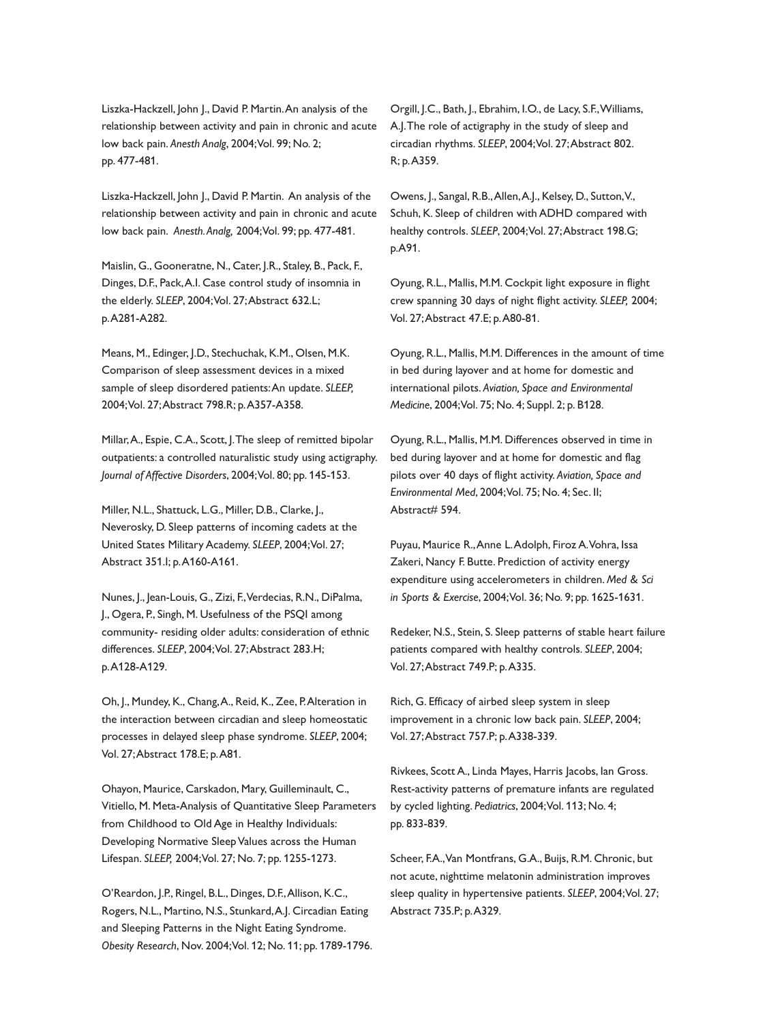Liszka-Hackzell, John J., David P. Martin.An analysis of the relationship between activity and pain in chronic and acute low back pain. *Anesth Analg*, 2004;Vol. 99; No. 2; pp. 477-481.

Liszka-Hackzell, John J., David P. Martin. An analysis of the relationship between activity and pain in chronic and acute low back pain. *Anesth.Analg,* 2004;Vol. 99; pp. 477-481.

Maislin, G., Gooneratne, N., Cater, J.R., Staley, B., Pack, F., Dinges, D.F., Pack,A.I. Case control study of insomnia in the elderly. *SLEEP*, 2004;Vol. 27;Abstract 632.L; p.A281-A282.

Means, M., Edinger, J.D., Stechuchak, K.M., Olsen, M.K. Comparison of sleep assessment devices in a mixed sample of sleep disordered patients:An update. *SLEEP,* 2004;Vol. 27;Abstract 798.R; p.A357-A358.

Millar,A., Espie, C.A., Scott, J.The sleep of remitted bipolar outpatients: a controlled naturalistic study using actigraphy. *Journal of Affective Disorders*, 2004;Vol. 80; pp. 145-153.

Miller, N.L., Shattuck, L.G., Miller, D.B., Clarke, J., Neverosky, D. Sleep patterns of incoming cadets at the United States Military Academy. *SLEEP*, 2004;Vol. 27; Abstract 351.I; p.A160-A161.

Nunes, J., Jean-Louis, G., Zizi, F.,Verdecias, R.N., DiPalma, J., Ogera, P., Singh, M. Usefulness of the PSQI among community- residing older adults: consideration of ethnic differences. *SLEEP*, 2004;Vol. 27;Abstract 283.H; p.A128-A129.

Oh, J., Mundey, K., Chang,A., Reid, K., Zee, P.Alteration in the interaction between circadian and sleep homeostatic processes in delayed sleep phase syndrome. *SLEEP*, 2004; Vol. 27;Abstract 178.E; p.A81.

Ohayon, Maurice, Carskadon, Mary, Guilleminault, C., Vitiello, M. Meta-Analysis of Quantitative Sleep Parameters from Childhood to Old Age in Healthy Individuals: Developing Normative SleepValues across the Human Lifespan. *SLEEP,* 2004;Vol. 27; No. 7; pp. 1255-1273.

O'Reardon, J.P., Ringel, B.L., Dinges, D.F.,Allison, K.C., Rogers, N.L., Martino, N.S., Stunkard,A.J. Circadian Eating and Sleeping Patterns in the Night Eating Syndrome. *Obesity Research*, Nov. 2004;Vol. 12; No. 11; pp. 1789-1796.

Orgill, J.C., Bath, J., Ebrahim, I.O., de Lacy, S.F.,Williams, A.J.The role of actigraphy in the study of sleep and circadian rhythms. *SLEEP*, 2004;Vol. 27;Abstract 802. R; p.A359.

Owens, J., Sangal, R.B.,Allen,A.J., Kelsey, D., Sutton,V., Schuh, K. Sleep of children with ADHD compared with healthy controls. *SLEEP*, 2004;Vol. 27;Abstract 198.G; p.A91.

Oyung, R.L., Mallis, M.M. Cockpit light exposure in flight crew spanning 30 days of night flight activity. *SLEEP,* 2004; Vol. 27;Abstract 47.E; p.A80-81.

Oyung, R.L., Mallis, M.M. Differences in the amount of time in bed during layover and at home for domestic and international pilots. *Aviation, Space and Environmental Medicine*, 2004;Vol. 75; No. 4; Suppl. 2; p. B128.

Oyung, R.L., Mallis, M.M. Differences observed in time in bed during layover and at home for domestic and flag pilots over 40 days of flight activity. *Aviation, Space and Environmental Med*, 2004;Vol. 75; No. 4; Sec. II; Abstract# 594.

Puyau, Maurice R.,Anne L.Adolph, Firoz A.Vohra, Issa Zakeri, Nancy F. Butte. Prediction of activity energy expenditure using accelerometers in children. *Med & Sci in Sports & Exercise*, 2004;Vol. 36; No. 9; pp. 1625-1631.

Redeker, N.S., Stein, S. Sleep patterns of stable heart failure patients compared with healthy controls. *SLEEP*, 2004; Vol. 27;Abstract 749.P; p.A335.

Rich, G. Efficacy of airbed sleep system in sleep improvement in a chronic low back pain. *SLEEP*, 2004; Vol. 27;Abstract 757.P; p.A338-339.

Rivkees, Scott A., Linda Mayes, Harris Jacobs, Ian Gross. Rest-activity patterns of premature infants are regulated by cycled lighting. *Pediatrics*, 2004;Vol. 113; No. 4; pp. 833-839.

Scheer, F.A.,Van Montfrans, G.A., Buijs, R.M. Chronic, but not acute, nighttime melatonin administration improves sleep quality in hypertensive patients. *SLEEP*, 2004;Vol. 27; Abstract 735.P; p.A329.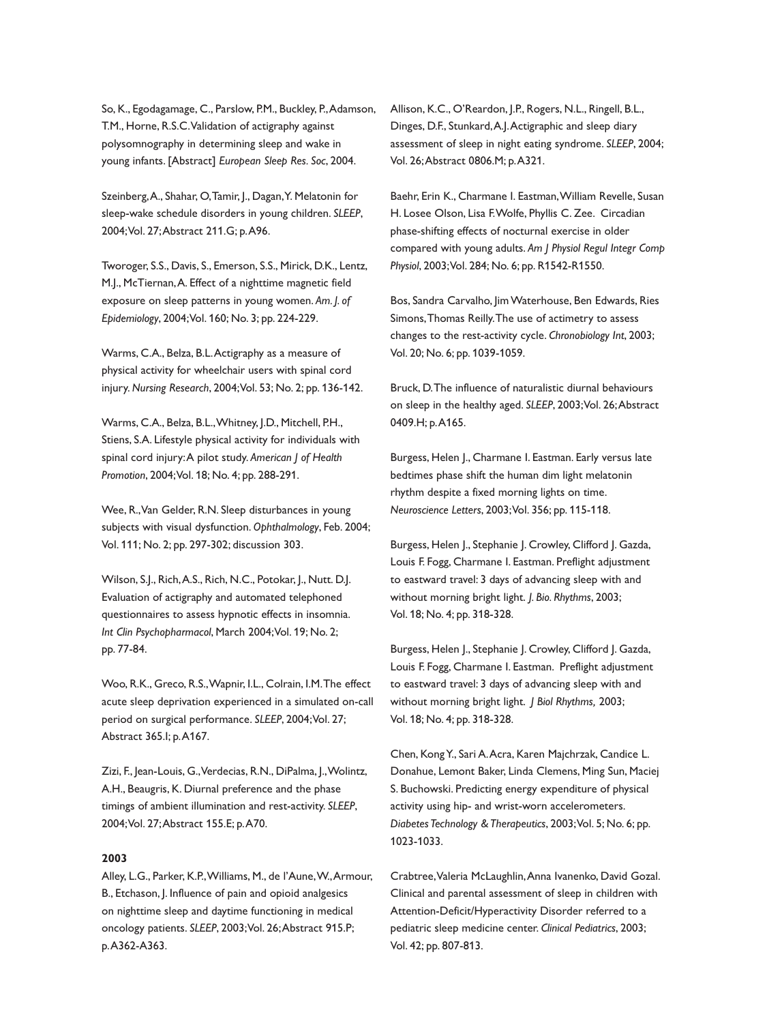So, K., Egodagamage, C., Parslow, P.M., Buckley, P.,Adamson, T.M., Horne, R.S.C.Validation of actigraphy against polysomnography in determining sleep and wake in young infants. [Abstract] *European Sleep Res. Soc*, 2004.

Szeinberg,A., Shahar, O,Tamir, J., Dagan,Y. Melatonin for sleep-wake schedule disorders in young children. *SLEEP*, 2004;Vol. 27;Abstract 211.G; p.A96.

Tworoger, S.S., Davis, S., Emerson, S.S., Mirick, D.K., Lentz, M.J., McTiernan,A. Effect of a nighttime magnetic field exposure on sleep patterns in young women. *Am. J. of Epidemiology*, 2004;Vol. 160; No. 3; pp. 224-229.

Warms, C.A., Belza, B.L.Actigraphy as a measure of physical activity for wheelchair users with spinal cord injury. *Nursing Research*, 2004;Vol. 53; No. 2; pp. 136-142.

Warms, C.A., Belza, B.L.,Whitney, J.D., Mitchell, P.H., Stiens, S.A. Lifestyle physical activity for individuals with spinal cord injury:A pilot study. *American J of Health Promotion*, 2004;Vol. 18; No. 4; pp. 288-291.

Wee, R.,Van Gelder, R.N. Sleep disturbances in young subjects with visual dysfunction. *Ophthalmology*, Feb. 2004; Vol. 111; No. 2; pp. 297-302; discussion 303.

Wilson, S.J., Rich,A.S., Rich, N.C., Potokar, J., Nutt. D.J. Evaluation of actigraphy and automated telephoned questionnaires to assess hypnotic effects in insomnia. *Int Clin Psychopharmacol*, March 2004;Vol. 19; No. 2; pp. 77-84.

Woo, R.K., Greco, R.S.,Wapnir, I.L., Colrain, I.M.The effect acute sleep deprivation experienced in a simulated on-call period on surgical performance. *SLEEP*, 2004;Vol. 27; Abstract 365.I; p.A167.

Zizi, F., Jean-Louis, G.,Verdecias, R.N., DiPalma, J.,Wolintz, A.H., Beaugris, K. Diurnal preference and the phase timings of ambient illumination and rest-activity. *SLEEP*, 2004;Vol. 27;Abstract 155.E; p.A70.

#### **2003**

Alley, L.G., Parker, K.P.,Williams, M., de l'Aune,W.,Armour, B., Etchason, J. Influence of pain and opioid analgesics on nighttime sleep and daytime functioning in medical oncology patients. *SLEEP*, 2003;Vol. 26;Abstract 915.P; p.A362-A363.

Allison, K.C., O'Reardon, J.P., Rogers, N.L., Ringell, B.L., Dinges, D.F., Stunkard,A.J.Actigraphic and sleep diary assessment of sleep in night eating syndrome. *SLEEP*, 2004; Vol. 26;Abstract 0806.M; p.A321.

Baehr, Erin K., Charmane I. Eastman,William Revelle, Susan H. Losee Olson, Lisa F.Wolfe, Phyllis C. Zee. Circadian phase-shifting effects of nocturnal exercise in older compared with young adults. *Am J Physiol Regul Integr Comp Physiol*, 2003;Vol. 284; No. 6; pp. R1542-R1550.

Bos, Sandra Carvalho, JimWaterhouse, Ben Edwards, Ries Simons,Thomas Reilly.The use of actimetry to assess changes to the rest-activity cycle. *Chronobiology Int*, 2003; Vol. 20; No. 6; pp. 1039-1059.

Bruck, D.The influence of naturalistic diurnal behaviours on sleep in the healthy aged. *SLEEP*, 2003;Vol. 26;Abstract 0409.H; p.A165.

Burgess, Helen J., Charmane I. Eastman. Early versus late bedtimes phase shift the human dim light melatonin rhythm despite a fixed morning lights on time. *Neuroscience Letters*, 2003;Vol. 356; pp. 115-118.

Burgess, Helen J., Stephanie J. Crowley, Clifford J. Gazda, Louis F. Fogg, Charmane I. Eastman. Preflight adjustment to eastward travel: 3 days of advancing sleep with and without morning bright light. *J. Bio. Rhythms*, 2003; Vol. 18; No. 4; pp. 318-328.

Burgess, Helen J., Stephanie J. Crowley, Clifford J. Gazda, Louis F. Fogg, Charmane I. Eastman. Preflight adjustment to eastward travel: 3 days of advancing sleep with and without morning bright light. *J Biol Rhythms,* 2003; Vol. 18; No. 4; pp. 318-328.

Chen, KongY., Sari A.Acra, Karen Majchrzak, Candice L. Donahue, Lemont Baker, Linda Clemens, Ming Sun, Maciej S. Buchowski. Predicting energy expenditure of physical activity using hip- and wrist-worn accelerometers. *Diabetes Technology &Therapeutics*, 2003;Vol. 5; No. 6; pp. 1023-1033.

Crabtree,Valeria McLaughlin,Anna Ivanenko, David Gozal. Clinical and parental assessment of sleep in children with Attention-Deficit/Hyperactivity Disorder referred to a pediatric sleep medicine center. *Clinical Pediatrics*, 2003; Vol. 42; pp. 807-813.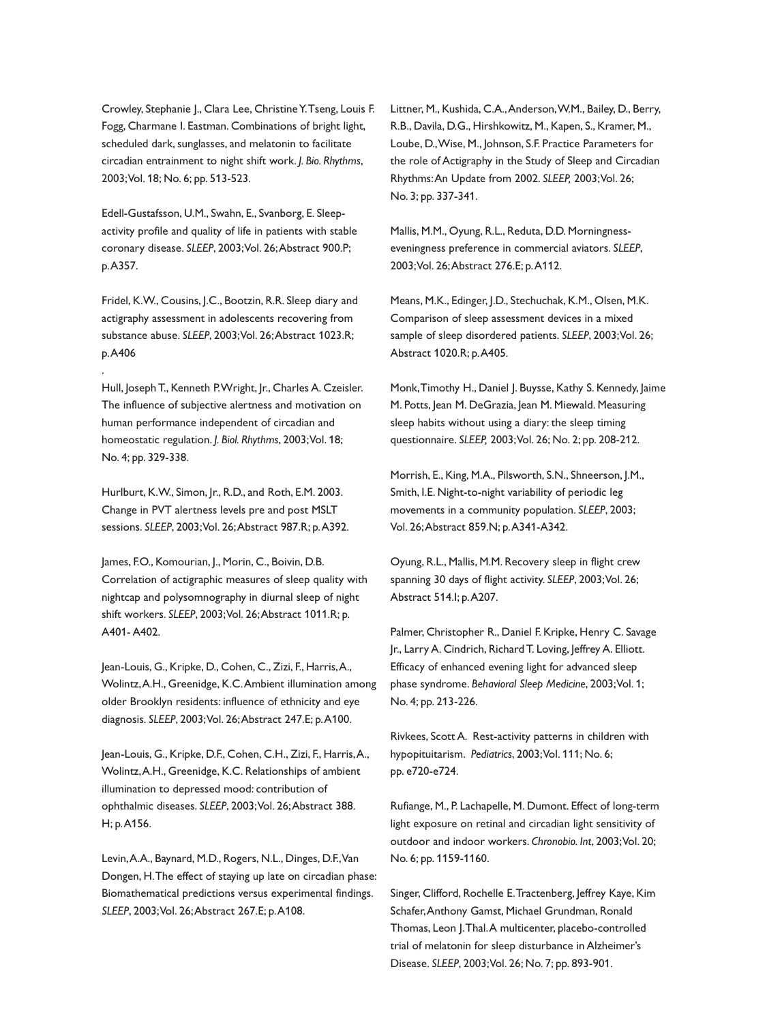Crowley, Stephanie J., Clara Lee, Christine Y. Tseng, Louis F. Fogg, Charmane I. Eastman. Combinations of bright light, scheduled dark, sunglasses, and melatonin to facilitate circadian entrainment to night shift work. *J. Bio. Rhythms*, 2003;Vol. 18; No. 6; pp. 513-523.

Edell-Gustafsson, U.M., Swahn, E., Svanborg, E. Sleepactivity profile and quality of life in patients with stable coronary disease. *SLEEP*, 2003;Vol. 26;Abstract 900.P; p.A357.

Fridel, K.W., Cousins, J.C., Bootzin, R.R. Sleep diary and actigraphy assessment in adolescents recovering from substance abuse. *SLEEP*, 2003;Vol. 26;Abstract 1023.R; p.A406

.

Hull, Joseph T., Kenneth P.Wright, Jr., Charles A. Czeisler. The influence of subjective alertness and motivation on human performance independent of circadian and homeostatic regulation. *J. Biol. Rhythms*, 2003;Vol. 18; No. 4; pp. 329-338.

Hurlburt, K.W., Simon, Jr., R.D., and Roth, E.M. 2003. Change in PVT alertness levels pre and post MSLT sessions. *SLEEP*, 2003;Vol. 26;Abstract 987.R; p.A392.

James, F.O., Komourian, J., Morin, C., Boivin, D.B. Correlation of actigraphic measures of sleep quality with nightcap and polysomnography in diurnal sleep of night shift workers. *SLEEP*, 2003;Vol. 26;Abstract 1011.R; p. A401- A402.

Jean-Louis, G., Kripke, D., Cohen, C., Zizi, F., Harris,A., Wolintz,A.H., Greenidge, K.C.Ambient illumination among older Brooklyn residents: influence of ethnicity and eye diagnosis. *SLEEP*, 2003;Vol. 26;Abstract 247.E; p.A100.

Jean-Louis, G., Kripke, D.F., Cohen, C.H., Zizi, F., Harris,A., Wolintz,A.H., Greenidge, K.C. Relationships of ambient illumination to depressed mood: contribution of ophthalmic diseases. *SLEEP*, 2003;Vol. 26;Abstract 388. H; p.A156.

Levin,A.A., Baynard, M.D., Rogers, N.L., Dinges, D.F.,Van Dongen, H.The effect of staying up late on circadian phase: Biomathematical predictions versus experimental findings. *SLEEP*, 2003;Vol. 26;Abstract 267.E; p.A108.

Littner, M., Kushida, C.A.,Anderson,W.M., Bailey, D., Berry, R.B., Davila, D.G., Hirshkowitz, M., Kapen, S., Kramer, M., Loube, D.,Wise, M., Johnson, S.F. Practice Parameters for the role of Actigraphy in the Study of Sleep and Circadian Rhythms:An Update from 2002. *SLEEP,* 2003;Vol. 26; No. 3; pp. 337-341.

Mallis, M.M., Oyung, R.L., Reduta, D.D. Morningnesseveningness preference in commercial aviators. *SLEEP*, 2003;Vol. 26;Abstract 276.E; p.A112.

Means, M.K., Edinger, J.D., Stechuchak, K.M., Olsen, M.K. Comparison of sleep assessment devices in a mixed sample of sleep disordered patients. *SLEEP*, 2003;Vol. 26; Abstract 1020.R; p.A405.

Monk,Timothy H., Daniel J. Buysse, Kathy S. Kennedy, Jaime M. Potts, Jean M. DeGrazia, Jean M. Miewald. Measuring sleep habits without using a diary: the sleep timing questionnaire. *SLEEP,* 2003;Vol. 26; No. 2; pp. 208-212.

Morrish, E., King, M.A., Pilsworth, S.N., Shneerson, J.M., Smith, I.E. Night-to-night variability of periodic leg movements in a community population. *SLEEP*, 2003; Vol. 26;Abstract 859.N; p.A341-A342.

Oyung, R.L., Mallis, M.M. Recovery sleep in flight crew spanning 30 days of flight activity. *SLEEP*, 2003;Vol. 26; Abstract 514.I; p.A207.

Palmer, Christopher R., Daniel F. Kripke, Henry C. Savage Jr., Larry A. Cindrich, Richard T. Loving, Jeffrey A. Elliott. Efficacy of enhanced evening light for advanced sleep phase syndrome. *Behavioral Sleep Medicine*, 2003;Vol. 1; No. 4; pp. 213-226.

Rivkees, Scott A. Rest-activity patterns in children with hypopituitarism. *Pediatrics*, 2003;Vol. 111; No. 6; pp. e720-e724.

Rufiange, M., P. Lachapelle, M. Dumont. Effect of long-term light exposure on retinal and circadian light sensitivity of outdoor and indoor workers. *Chronobio. Int*, 2003;Vol. 20; No. 6; pp. 1159-1160.

Singer, Clifford, Rochelle E.Tractenberg, Jeffrey Kaye, Kim Schafer,Anthony Gamst, Michael Grundman, Ronald Thomas, Leon J.Thal.A multicenter, placebo-controlled trial of melatonin for sleep disturbance in Alzheimer's Disease. *SLEEP*, 2003;Vol. 26; No. 7; pp. 893-901.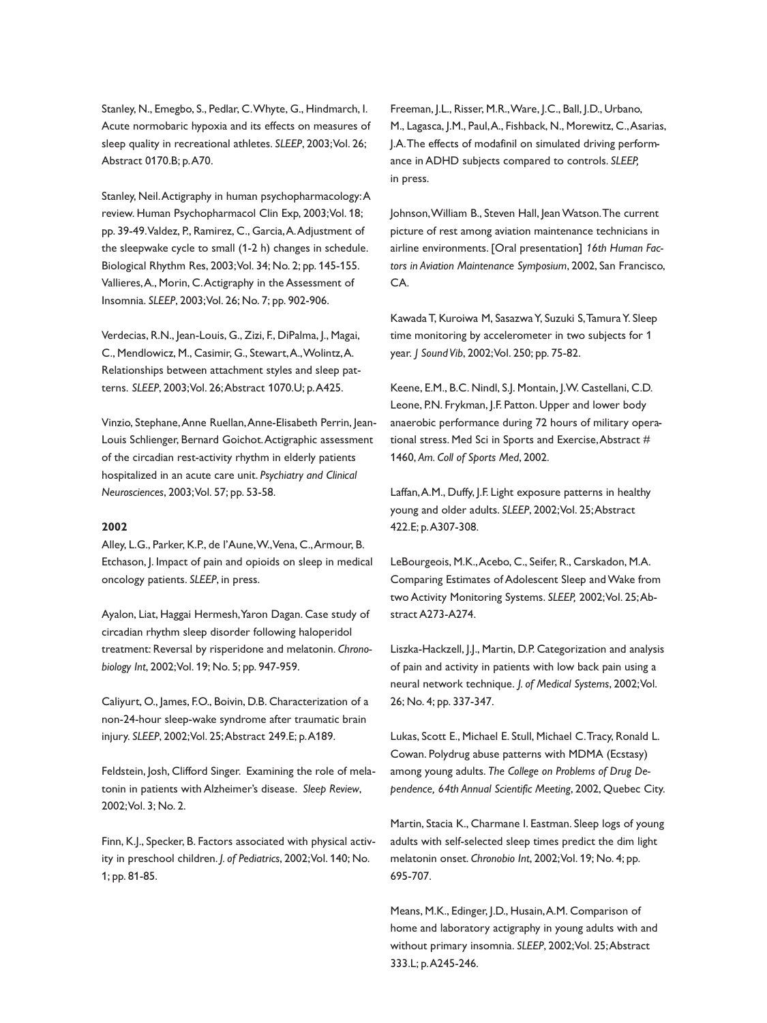Stanley, N., Emegbo, S., Pedlar, C.Whyte, G., Hindmarch, I. Acute normobaric hypoxia and its effects on measures of sleep quality in recreational athletes. *SLEEP*, 2003;Vol. 26; Abstract 0170.B; p.A70.

Stanley, Neil.Actigraphy in human psychopharmacology:A review. Human Psychopharmacol Clin Exp, 2003;Vol. 18; pp. 39-49.Valdez, P., Ramirez, C., Garcia,A.Adjustment of the sleepwake cycle to small (1-2 h) changes in schedule. Biological Rhythm Res, 2003;Vol. 34; No. 2; pp. 145-155. Vallieres,A., Morin, C.Actigraphy in the Assessment of Insomnia. *SLEEP*, 2003;Vol. 26; No. 7; pp. 902-906.

Verdecias, R.N., Jean-Louis, G., Zizi, F., DiPalma, J., Magai, C., Mendlowicz, M., Casimir, G., Stewart,A.,Wolintz,A. Relationships between attachment styles and sleep patterns. *SLEEP*, 2003;Vol. 26;Abstract 1070.U; p.A425.

Vinzio, Stephane,Anne Ruellan,Anne-Elisabeth Perrin, Jean-Louis Schlienger, Bernard Goichot.Actigraphic assessment of the circadian rest-activity rhythm in elderly patients hospitalized in an acute care unit. *Psychiatry and Clinical Neurosciences*, 2003;Vol. 57; pp. 53-58.

## **2002**

Alley, L.G., Parker, K.P., de l'Aune,W.,Vena, C.,Armour, B. Etchason, J. Impact of pain and opioids on sleep in medical oncology patients. *SLEEP*, in press.

Ayalon, Liat, Haggai Hermesh,Yaron Dagan. Case study of circadian rhythm sleep disorder following haloperidol treatment: Reversal by risperidone and melatonin. *Chronobiology Int*, 2002;Vol. 19; No. 5; pp. 947-959.

Caliyurt, O., James, F.O., Boivin, D.B. Characterization of a non-24-hour sleep-wake syndrome after traumatic brain injury. *SLEEP*, 2002;Vol. 25;Abstract 249.E; p.A189.

Feldstein, Josh, Clifford Singer. Examining the role of melatonin in patients with Alzheimer's disease. *Sleep Review*, 2002;Vol. 3; No. 2.

Finn, K.J., Specker, B. Factors associated with physical activity in preschool children. *J. of Pediatrics*, 2002;Vol. 140; No. 1; pp. 81-85.

Freeman, J.L., Risser, M.R.,Ware, J.C., Ball, J.D., Urbano, M., Lagasca, J.M., Paul,A., Fishback, N., Morewitz, C.,Asarias, J.A.The effects of modafinil on simulated driving performance in ADHD subjects compared to controls. *SLEEP,* in press.

Johnson, William B., Steven Hall, Jean Watson. The current picture of rest among aviation maintenance technicians in airline environments. [Oral presentation] *16th Human Factors in Aviation Maintenance Symposium*, 2002, San Francisco, CA.

Kawada T, Kuroiwa M, Sasazwa Y, Suzuki S, Tamura Y. Sleep time monitoring by accelerometer in two subjects for 1 year. *J Sound Vib*, 2002;Vol. 250; pp. 75-82.

Keene, E.M., B.C. Nindl, S.J. Montain, J.W. Castellani, C.D. Leone, P.N. Frykman, J.F. Patton. Upper and lower body anaerobic performance during 72 hours of military operational stress. Med Sci in Sports and Exercise, Abstract # 1460, *Am. Coll of Sports Med*, 2002.

Laffan,A.M., Duffy, J.F. Light exposure patterns in healthy young and older adults. *SLEEP*, 2002;Vol. 25;Abstract 422.E; p.A307-308.

LeBourgeois, M.K.,Acebo, C., Seifer, R., Carskadon, M.A. Comparing Estimates of Adolescent Sleep andWake from two Activity Monitoring Systems. *SLEEP,* 2002;Vol. 25;Abstract A273-A274.

Liszka-Hackzell, J.J., Martin, D.P. Categorization and analysis of pain and activity in patients with low back pain using a neural network technique. *J. of Medical Systems*, 2002;Vol. 26; No. 4; pp. 337-347.

Lukas, Scott E., Michael E. Stull, Michael C.Tracy, Ronald L. Cowan. Polydrug abuse patterns with MDMA (Ecstasy) among young adults. *The College on Problems of Drug Dependence, 64th Annual Scientific Meeting*, 2002, Quebec City.

Martin, Stacia K., Charmane I. Eastman. Sleep logs of young adults with self-selected sleep times predict the dim light melatonin onset. *Chronobio Int*, 2002;Vol. 19; No. 4; pp. 695-707.

Means, M.K., Edinger, J.D., Husain,A.M. Comparison of home and laboratory actigraphy in young adults with and without primary insomnia. *SLEEP*, 2002;Vol. 25;Abstract 333.L; p.A245-246.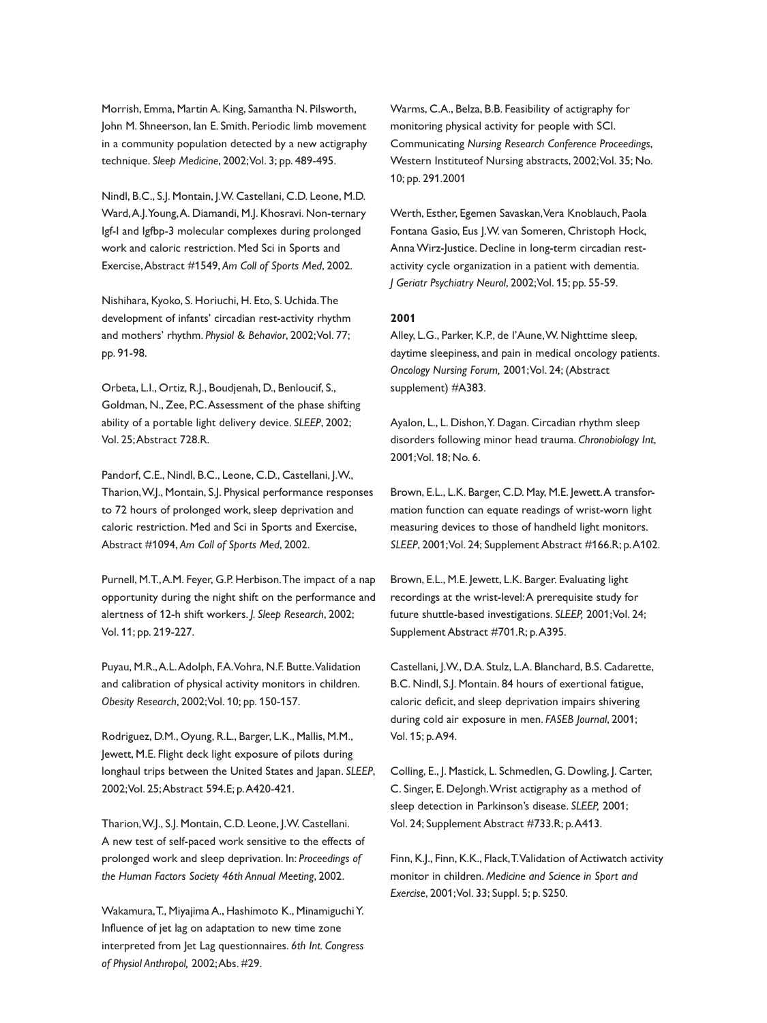Morrish, Emma, Martin A. King, Samantha N. Pilsworth, John M. Shneerson, Ian E. Smith. Periodic limb movement in a community population detected by a new actigraphy technique. *Sleep Medicine*, 2002;Vol. 3; pp. 489-495.

Nindl, B.C., S.J. Montain, J.W. Castellani, C.D. Leone, M.D. Ward,A.J.Young,A. Diamandi, M.J. Khosravi. Non-ternary Igf-I and Igfbp-3 molecular complexes during prolonged work and caloric restriction. Med Sci in Sports and Exercise,Abstract #1549, *Am Coll of Sports Med*, 2002.

Nishihara, Kyoko, S. Horiuchi, H. Eto, S. Uchida.The development of infants' circadian rest-activity rhythm and mothers' rhythm. *Physiol & Behavior*, 2002;Vol. 77; pp. 91-98.

Orbeta, L.I., Ortiz, R.J., Boudjenah, D., Benloucif, S., Goldman, N., Zee, P.C.Assessment of the phase shifting ability of a portable light delivery device. *SLEEP*, 2002; Vol. 25;Abstract 728.R.

Pandorf, C.E., Nindl, B.C., Leone, C.D., Castellani, J.W., Tharion,W.J., Montain, S.J. Physical performance responses to 72 hours of prolonged work, sleep deprivation and caloric restriction. Med and Sci in Sports and Exercise, Abstract #1094, *Am Coll of Sports Med*, 2002.

Purnell, M.T.,A.M. Feyer, G.P. Herbison.The impact of a nap opportunity during the night shift on the performance and alertness of 12-h shift workers. *J. Sleep Research*, 2002; Vol. 11; pp. 219-227.

Puyau, M.R.,A.L.Adolph, F.A.Vohra, N.F. Butte.Validation and calibration of physical activity monitors in children. *Obesity Research*, 2002;Vol. 10; pp. 150-157.

Rodriguez, D.M., Oyung, R.L., Barger, L.K., Mallis, M.M., Jewett, M.E. Flight deck light exposure of pilots during longhaul trips between the United States and Japan. *SLEEP*, 2002;Vol. 25;Abstract 594.E; p.A420-421.

Tharion,W.J., S.J. Montain, C.D. Leone, J.W. Castellani. A new test of self-paced work sensitive to the effects of prolonged work and sleep deprivation. In: *Proceedings of the Human Factors Society 46th Annual Meeting*, 2002.

Wakamura,T., Miyajima A., Hashimoto K., MinamiguchiY. Influence of jet lag on adaptation to new time zone interpreted from Jet Lag questionnaires. *6th Int. Congress of Physiol Anthropol,* 2002;Abs. #29.

Warms, C.A., Belza, B.B. Feasibility of actigraphy for monitoring physical activity for people with SCI. Communicating *Nursing Research Conference Proceedings*, Western Instituteof Nursing abstracts, 2002;Vol. 35; No. 10; pp. 291.2001

Werth, Esther, Egemen Savaskan,Vera Knoblauch, Paola Fontana Gasio, Eus J.W. van Someren, Christoph Hock, AnnaWirz-Justice. Decline in long-term circadian restactivity cycle organization in a patient with dementia. *J Geriatr Psychiatry Neurol*, 2002;Vol. 15; pp. 55-59.

## **2001**

Alley, L.G., Parker, K.P., de l'Aune,W. Nighttime sleep, daytime sleepiness, and pain in medical oncology patients. *Oncology Nursing Forum,* 2001;Vol. 24; (Abstract supplement) #A383.

Ayalon, L., L. Dishon,Y. Dagan. Circadian rhythm sleep disorders following minor head trauma. *Chronobiology Int*, 2001;Vol. 18; No. 6.

Brown, E.L., L.K. Barger, C.D. May, M.E. Jewett.A transformation function can equate readings of wrist-worn light measuring devices to those of handheld light monitors. *SLEEP*, 2001;Vol. 24; Supplement Abstract #166.R; p.A102.

Brown, E.L., M.E. Jewett, L.K. Barger. Evaluating light recordings at the wrist-level:A prerequisite study for future shuttle-based investigations. *SLEEP,* 2001;Vol. 24; Supplement Abstract #701.R; p.A395.

Castellani, J.W., D.A. Stulz, L.A. Blanchard, B.S. Cadarette, B.C. Nindl, S.J. Montain. 84 hours of exertional fatigue, caloric deficit, and sleep deprivation impairs shivering during cold air exposure in men. *FASEB Journal*, 2001; Vol. 15; p.A94.

Colling, E., J. Mastick, L. Schmedlen, G. Dowling, J. Carter, C. Singer, E. DeJongh.Wrist actigraphy as a method of sleep detection in Parkinson's disease. *SLEEP,* 2001; Vol. 24; Supplement Abstract #733.R; p.A413.

Finn, K.J., Finn, K.K., Flack,T.Validation of Actiwatch activity monitor in children. *Medicine and Science in Sport and Exercise*, 2001;Vol. 33; Suppl. 5; p. S250.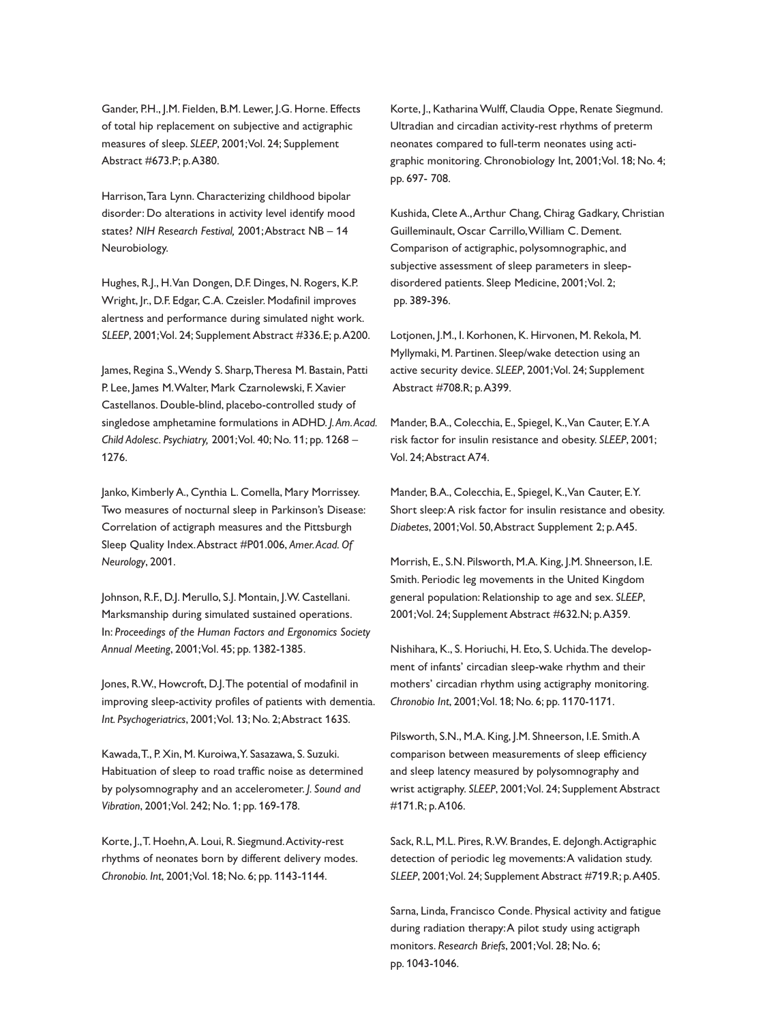Gander, P.H., J.M. Fielden, B.M. Lewer, J.G. Horne. Effects of total hip replacement on subjective and actigraphic measures of sleep. *SLEEP*, 2001;Vol. 24; Supplement Abstract #673.P; p.A380.

Harrison,Tara Lynn. Characterizing childhood bipolar disorder: Do alterations in activity level identify mood states? *NIH Research Festival,* 2001;Abstract NB – 14 Neurobiology.

Hughes, R.J., H.Van Dongen, D.F. Dinges, N. Rogers, K.P. Wright, Jr., D.F. Edgar, C.A. Czeisler. Modafinil improves alertness and performance during simulated night work. *SLEEP*, 2001;Vol. 24; Supplement Abstract #336.E; p.A200.

James, Regina S.,Wendy S. Sharp,Theresa M. Bastain, Patti P. Lee, James M.Walter, Mark Czarnolewski, F. Xavier Castellanos. Double-blind, placebo-controlled study of singledose amphetamine formulations in ADHD. *J.Am.Acad. Child Adolesc. Psychiatry,* 2001;Vol. 40; No. 11; pp. 1268 – 1276.

Janko, Kimberly A., Cynthia L. Comella, Mary Morrissey. Two measures of nocturnal sleep in Parkinson's Disease: Correlation of actigraph measures and the Pittsburgh Sleep Quality Index.Abstract #P01.006, *Amer.Acad. Of Neurology*, 2001.

Johnson, R.F., D.J. Merullo, S.J. Montain, J.W. Castellani. Marksmanship during simulated sustained operations. In: *Proceedings of the Human Factors and Ergonomics Society Annual Meeting*, 2001;Vol. 45; pp. 1382-1385.

Jones, R.W., Howcroft, D.J.The potential of modafinil in improving sleep-activity profiles of patients with dementia. *Int. Psychogeriatrics*, 2001;Vol. 13; No. 2;Abstract 163S.

Kawada,T., P. Xin, M. Kuroiwa,Y. Sasazawa, S. Suzuki. Habituation of sleep to road traffic noise as determined by polysomnography and an accelerometer. *J. Sound and Vibration*, 2001;Vol. 242; No. 1; pp. 169-178.

Korte, J.,T. Hoehn,A. Loui, R. Siegmund.Activity-rest rhythms of neonates born by different delivery modes. *Chronobio. Int*, 2001;Vol. 18; No. 6; pp. 1143-1144.

Korte, J., Katharina Wulff, Claudia Oppe, Renate Siegmund. Ultradian and circadian activity-rest rhythms of preterm neonates compared to full-term neonates using actigraphic monitoring. Chronobiology Int, 2001;Vol. 18; No. 4; pp. 697- 708.

Kushida, Clete A.,Arthur Chang, Chirag Gadkary, Christian Guilleminault, Oscar Carrillo,William C. Dement. Comparison of actigraphic, polysomnographic, and subjective assessment of sleep parameters in sleepdisordered patients. Sleep Medicine, 2001;Vol. 2; pp. 389-396.

Lotjonen, J.M., I. Korhonen, K. Hirvonen, M. Rekola, M. Myllymaki, M. Partinen. Sleep/wake detection using an active security device. *SLEEP*, 2001;Vol. 24; Supplement Abstract #708.R; p.A399.

Mander, B.A., Colecchia, E., Spiegel, K.,Van Cauter, E.Y.A risk factor for insulin resistance and obesity. *SLEEP*, 2001; Vol. 24;Abstract A74.

Mander, B.A., Colecchia, E., Spiegel, K.,Van Cauter, E.Y. Short sleep:A risk factor for insulin resistance and obesity. *Diabetes*, 2001;Vol. 50,Abstract Supplement 2; p.A45.

Morrish, E., S.N. Pilsworth, M.A. King, J.M. Shneerson, I.E. Smith. Periodic leg movements in the United Kingdom general population: Relationship to age and sex. *SLEEP*, 2001;Vol. 24; Supplement Abstract #632.N; p.A359.

Nishihara, K., S. Horiuchi, H. Eto, S. Uchida.The development of infants' circadian sleep-wake rhythm and their mothers' circadian rhythm using actigraphy monitoring. *Chronobio Int*, 2001;Vol. 18; No. 6; pp. 1170-1171.

Pilsworth, S.N., M.A. King, J.M. Shneerson, I.E. Smith.A comparison between measurements of sleep efficiency and sleep latency measured by polysomnography and wrist actigraphy. *SLEEP*, 2001;Vol. 24; Supplement Abstract #171.R; p.A106.

Sack, R.L, M.L. Pires, R.W. Brandes, E. deJongh.Actigraphic detection of periodic leg movements:A validation study. *SLEEP*, 2001;Vol. 24; Supplement Abstract #719.R; p.A405.

Sarna, Linda, Francisco Conde. Physical activity and fatigue during radiation therapy:A pilot study using actigraph monitors. *Research Briefs*, 2001;Vol. 28; No. 6; pp. 1043-1046.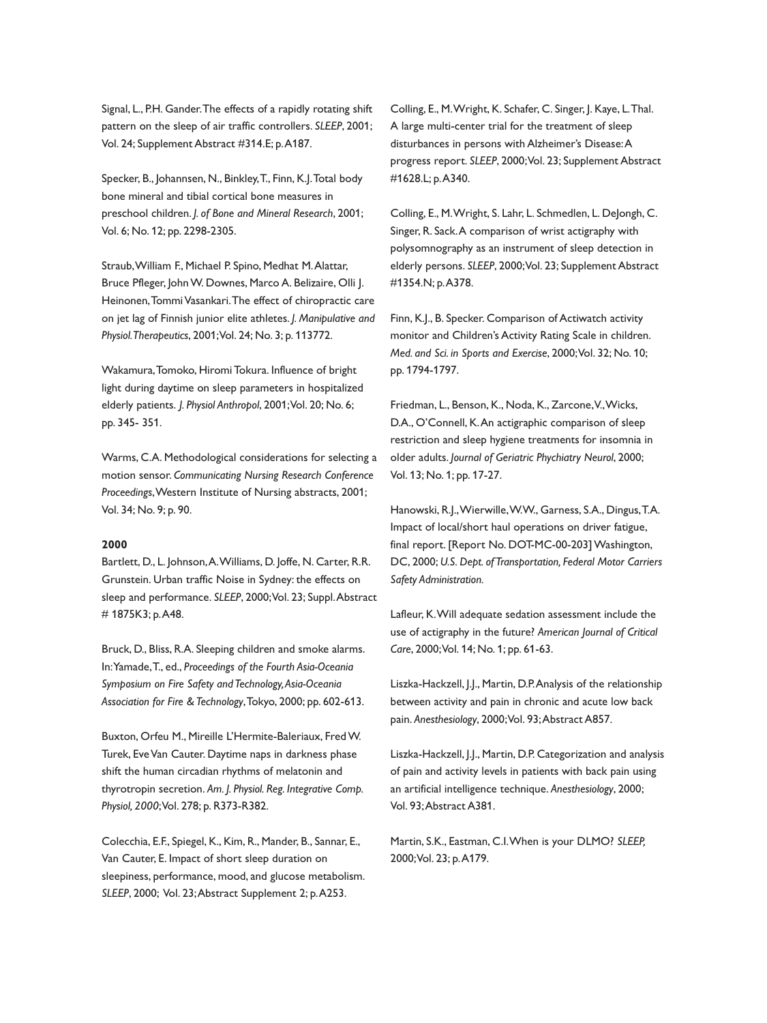Signal, L., P.H. Gander.The effects of a rapidly rotating shift pattern on the sleep of air traffic controllers. *SLEEP*, 2001; Vol. 24; Supplement Abstract #314.E; p.A187.

Specker, B., Johannsen, N., Binkley,T., Finn, K.J.Total body bone mineral and tibial cortical bone measures in preschool children. *J. of Bone and Mineral Research*, 2001; Vol. 6; No. 12; pp. 2298-2305.

Straub,William F., Michael P. Spino, Medhat M.Alattar, Bruce Pfleger, JohnW. Downes, Marco A. Belizaire, Olli J. Heinonen,TommiVasankari.The effect of chiropractic care on jet lag of Finnish junior elite athletes. *J. Manipulative and Physiol.Therapeutics*, 2001;Vol. 24; No. 3; p. 113772.

Wakamura,Tomoko, Hiromi Tokura. Influence of bright light during daytime on sleep parameters in hospitalized elderly patients. *J. Physiol Anthropol*, 2001;Vol. 20; No. 6; pp. 345- 351.

Warms, C.A. Methodological considerations for selecting a motion sensor. *Communicating Nursing Research Conference Proceedings*,Western Institute of Nursing abstracts, 2001; Vol. 34; No. 9; p. 90.

#### **2000**

Bartlett, D., L. Johnson,A.Williams, D. Joffe, N. Carter, R.R. Grunstein. Urban traffic Noise in Sydney: the effects on sleep and performance. *SLEEP*, 2000;Vol. 23; Suppl.Abstract # 1875K3; p.A48.

Bruck, D., Bliss, R.A. Sleeping children and smoke alarms. In:Yamade,T., ed., *Proceedings of the Fourth Asia-Oceania Symposium on Fire Safety and Technology,Asia-Oceania Association for Fire &Technology*,Tokyo, 2000; pp. 602-613.

Buxton, Orfeu M., Mireille L'Hermite-Baleriaux, FredW. Turek, Eve Van Cauter. Daytime naps in darkness phase shift the human circadian rhythms of melatonin and thyrotropin secretion. *Am. J. Physiol. Reg. Integrative Comp. Physiol, 2000*;Vol. 278; p. R373-R382.

Colecchia, E.F., Spiegel, K., Kim, R., Mander, B., Sannar, E., Van Cauter, E. Impact of short sleep duration on sleepiness, performance, mood, and glucose metabolism. *SLEEP*, 2000; Vol. 23;Abstract Supplement 2; p.A253.

Colling, E., M.Wright, K. Schafer, C. Singer, J. Kaye, L.Thal. A large multi-center trial for the treatment of sleep disturbances in persons with Alzheimer's Disease:A progress report. *SLEEP*, 2000;Vol. 23; Supplement Abstract #1628.L; p.A340.

Colling, E., M.Wright, S. Lahr, L. Schmedlen, L. DeJongh, C. Singer, R. Sack.A comparison of wrist actigraphy with polysomnography as an instrument of sleep detection in elderly persons. *SLEEP*, 2000;Vol. 23; Supplement Abstract #1354.N; p.A378.

Finn, K.J., B. Specker. Comparison of Actiwatch activity monitor and Children's Activity Rating Scale in children. *Med. and Sci. in Sports and Exercise*, 2000;Vol. 32; No. 10; pp. 1794-1797.

Friedman, L., Benson, K., Noda, K., Zarcone,V.,Wicks, D.A., O'Connell, K.An actigraphic comparison of sleep restriction and sleep hygiene treatments for insomnia in older adults. *Journal of Geriatric Phychiatry Neurol*, 2000; Vol. 13; No. 1; pp. 17-27.

Hanowski, R.J.,Wierwille,W.W., Garness, S.A., Dingus,T.A. Impact of local/short haul operations on driver fatigue, final report. [Report No. DOT-MC-00-203] Washington, DC, 2000; *U.S. Dept. of Transportation, Federal Motor Carriers Safety Administration.*

Lafleur, K.Will adequate sedation assessment include the use of actigraphy in the future? *American Journal of Critical Care*, 2000;Vol. 14; No. 1; pp. 61-63.

Liszka-Hackzell, J.J., Martin, D.P.Analysis of the relationship between activity and pain in chronic and acute low back pain. *Anesthesiology*, 2000;Vol. 93;Abstract A857.

Liszka-Hackzell, J.J., Martin, D.P. Categorization and analysis of pain and activity levels in patients with back pain using an artificial intelligence technique. *Anesthesiology*, 2000; Vol. 93;Abstract A381.

Martin, S.K., Eastman, C.I.When is your DLMO? *SLEEP,* 2000;Vol. 23; p.A179.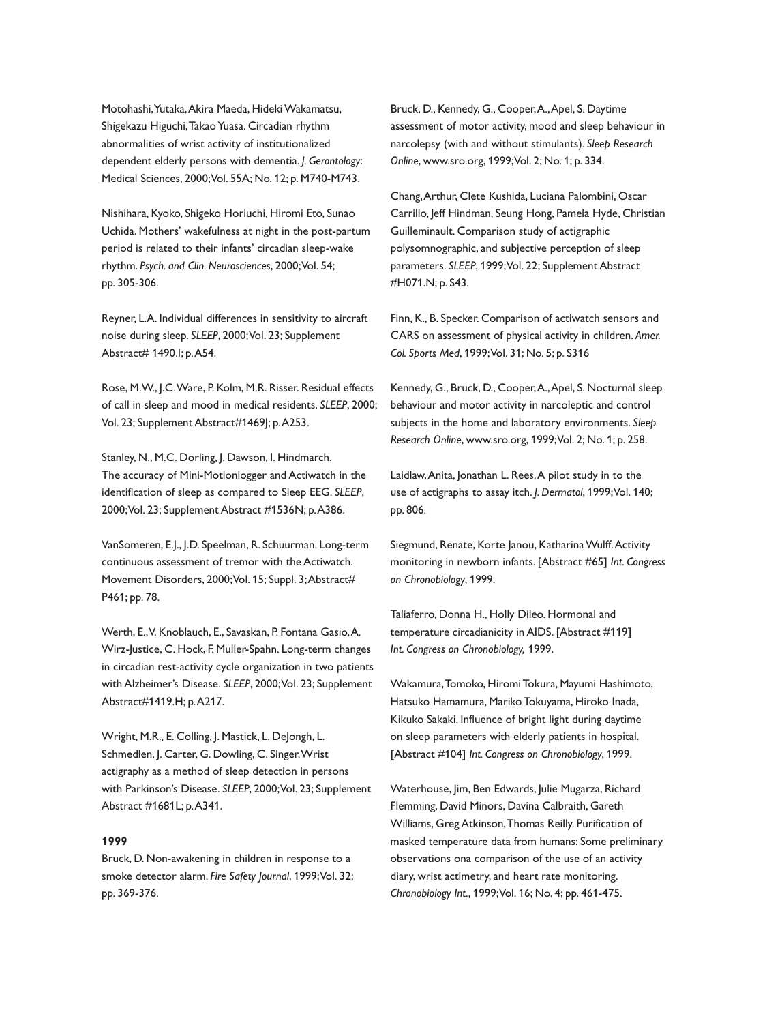Motohashi, Yutaka, Akira Maeda, Hideki Wakamatsu, Shigekazu Higuchi, Takao Yuasa. Circadian rhythm abnormalities of wrist activity of institutionalized dependent elderly persons with dementia. *J. Gerontology*: Medical Sciences, 2000;Vol. 55A; No. 12; p. M740-M743.

Nishihara, Kyoko, Shigeko Horiuchi, Hiromi Eto, Sunao Uchida. Mothers' wakefulness at night in the post-partum period is related to their infants' circadian sleep-wake rhythm. *Psych. and Clin. Neurosciences*, 2000;Vol. 54; pp. 305-306.

Reyner, L.A. Individual differences in sensitivity to aircraft noise during sleep. *SLEEP*, 2000;Vol. 23; Supplement Abstract# 1490.I; p.A54.

Rose, M.W., J.C.Ware, P. Kolm, M.R. Risser. Residual effects of call in sleep and mood in medical residents. *SLEEP*, 2000; Vol. 23; Supplement Abstract#1469J; p.A253.

Stanley, N., M.C. Dorling, J. Dawson, I. Hindmarch. The accuracy of Mini-Motionlogger and Actiwatch in the identification of sleep as compared to Sleep EEG. *SLEEP*, 2000;Vol. 23; Supplement Abstract #1536N; p.A386.

VanSomeren, E.J., J.D. Speelman, R. Schuurman. Long-term continuous assessment of tremor with the Actiwatch. Movement Disorders, 2000; Vol. 15; Suppl. 3; Abstract# P461; pp. 78.

Werth, E.,V. Knoblauch, E., Savaskan, P. Fontana Gasio,A. Wirz-Justice, C. Hock, F. Muller-Spahn. Long-term changes in circadian rest-activity cycle organization in two patients with Alzheimer's Disease. *SLEEP*, 2000;Vol. 23; Supplement Abstract#1419.H; p.A217.

Wright, M.R., E. Colling, J. Mastick, L. DeJongh, L. Schmedlen, J. Carter, G. Dowling, C. Singer.Wrist actigraphy as a method of sleep detection in persons with Parkinson's Disease. *SLEEP*, 2000;Vol. 23; Supplement Abstract #1681L; p.A341.

## **1999**

Bruck, D. Non-awakening in children in response to a smoke detector alarm. *Fire Safety Journal*, 1999;Vol. 32; pp. 369-376.

Bruck, D., Kennedy, G., Cooper,A.,Apel, S. Daytime assessment of motor activity, mood and sleep behaviour in narcolepsy (with and without stimulants). *Sleep Research Online*, www.sro.org, 1999;Vol. 2; No. 1; p. 334.

Chang,Arthur, Clete Kushida, Luciana Palombini, Oscar Carrillo, Jeff Hindman, Seung Hong, Pamela Hyde, Christian Guilleminault. Comparison study of actigraphic polysomnographic, and subjective perception of sleep parameters. *SLEEP*, 1999;Vol. 22; Supplement Abstract #H071.N; p. S43.

Finn, K., B. Specker. Comparison of actiwatch sensors and CARS on assessment of physical activity in children. *Amer. Col. Sports Med*, 1999;Vol. 31; No. 5; p. S316

Kennedy, G., Bruck, D., Cooper,A.,Apel, S. Nocturnal sleep behaviour and motor activity in narcoleptic and control subjects in the home and laboratory environments. *Sleep Research Online*, www.sro.org, 1999;Vol. 2; No. 1; p. 258.

Laidlaw,Anita, Jonathan L. Rees.A pilot study in to the use of actigraphs to assay itch. *J. Dermatol*, 1999;Vol. 140; pp. 806.

Siegmund, Renate, Korte Janou, Katharina Wulff. Activity monitoring in newborn infants. [Abstract #65] *Int. Congress on Chronobiology*, 1999.

Taliaferro, Donna H., Holly Dileo. Hormonal and temperature circadianicity in AIDS. [Abstract #119] *Int. Congress on Chronobiology,* 1999.

Wakamura,Tomoko, Hiromi Tokura, Mayumi Hashimoto, Hatsuko Hamamura, Mariko Tokuyama, Hiroko Inada, Kikuko Sakaki. Influence of bright light during daytime on sleep parameters with elderly patients in hospital. [Abstract #104] *Int. Congress on Chronobiology*, 1999.

Waterhouse, Jim, Ben Edwards, Julie Mugarza, Richard Flemming, David Minors, Davina Calbraith, Gareth Williams, Greg Atkinson,Thomas Reilly. Purification of masked temperature data from humans: Some preliminary observations ona comparison of the use of an activity diary, wrist actimetry, and heart rate monitoring. *Chronobiology Int*., 1999;Vol. 16; No. 4; pp. 461-475.